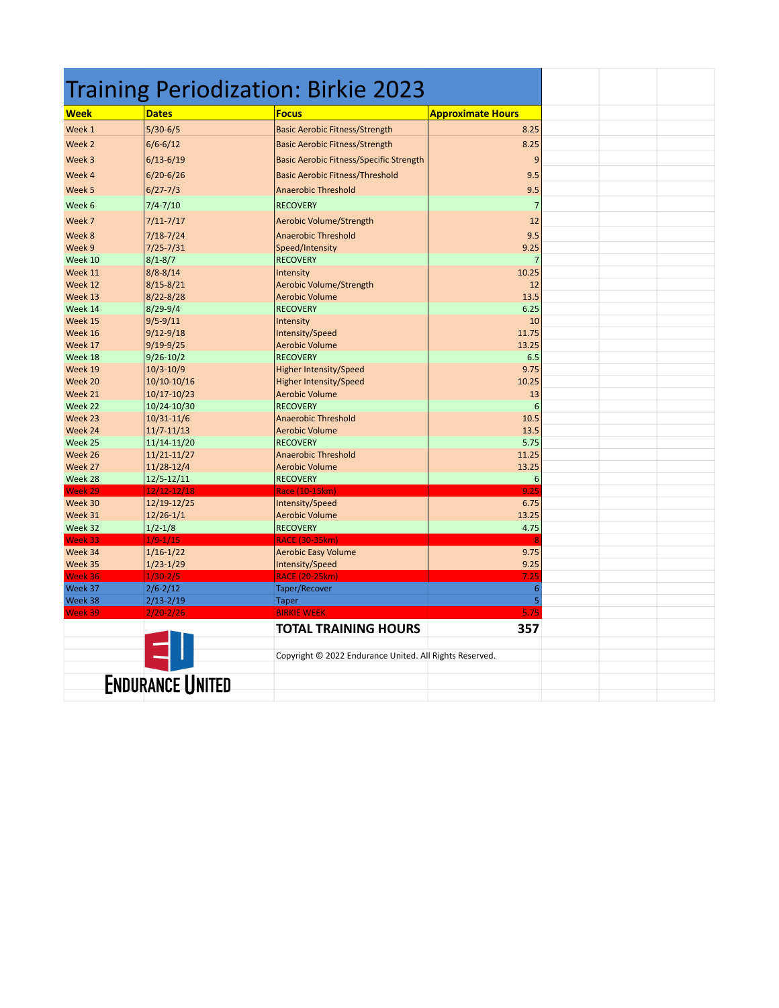| Training Periodization: Birkie 2023 |                                |                                                         |                          |  |  |
|-------------------------------------|--------------------------------|---------------------------------------------------------|--------------------------|--|--|
| Week                                | <b>Dates</b>                   | <b>Focus</b>                                            | <b>Approximate Hours</b> |  |  |
| Week 1                              | $5/30-6/5$                     | <b>Basic Aerobic Fitness/Strength</b>                   | 8.25                     |  |  |
| Week <sub>2</sub>                   | $6/6 - 6/12$                   | <b>Basic Aerobic Fitness/Strength</b>                   | 8.25                     |  |  |
| Week 3                              | $6/13 - 6/19$                  | <b>Basic Aerobic Fitness/Specific Strength</b>          | 9                        |  |  |
| Week 4                              | $6/20 - 6/26$                  | <b>Basic Aerobic Fitness/Threshold</b>                  | 9.5                      |  |  |
|                                     |                                |                                                         |                          |  |  |
| Week 5                              | $6/27 - 7/3$                   | <b>Anaerobic Threshold</b>                              | 9.5                      |  |  |
| Week 6                              | $7/4 - 7/10$                   | <b>RECOVERY</b>                                         | $\overline{7}$           |  |  |
| Week 7                              | $7/11 - 7/17$                  | <b>Aerobic Volume/Strength</b>                          | 12                       |  |  |
| Week 8                              | $7/18 - 7/24$                  | <b>Anaerobic Threshold</b>                              | 9.5                      |  |  |
| Week 9                              | $7/25 - 7/31$                  | Speed/Intensity                                         | 9.25                     |  |  |
| Week 10                             | $8/1 - 8/7$                    | <b>RECOVERY</b>                                         | 7                        |  |  |
| Week 11                             | $8/8 - 8/14$                   | Intensity                                               | 10.25                    |  |  |
| Week 12                             | $8/15 - 8/21$                  | Aerobic Volume/Strength                                 | 12                       |  |  |
| Week 13                             | $8/22 - 8/28$                  | <b>Aerobic Volume</b>                                   | 13.5                     |  |  |
| Week 14<br>Week 15                  | $8/29 - 9/4$                   | <b>RECOVERY</b>                                         | 6.25<br>10               |  |  |
| Week 16                             | $9/5 - 9/11$<br>$9/12 - 9/18$  | Intensity<br>Intensity/Speed                            | 11.75                    |  |  |
| Week 17                             | $9/19-9/25$                    | <b>Aerobic Volume</b>                                   | 13.25                    |  |  |
| Week 18                             | $9/26 - 10/2$                  | <b>RECOVERY</b>                                         | 6.5                      |  |  |
| Week 19                             | $10/3 - 10/9$                  | <b>Higher Intensity/Speed</b>                           | 9.75                     |  |  |
| Week 20                             | 10/10-10/16                    | <b>Higher Intensity/Speed</b>                           | 10.25                    |  |  |
| Week 21                             | $10/17 - 10/23$                | <b>Aerobic Volume</b>                                   | 13                       |  |  |
| Week 22                             | 10/24-10/30                    | <b>RECOVERY</b>                                         | 6                        |  |  |
| Week 23                             | 10/31-11/6                     | <b>Anaerobic Threshold</b>                              | 10.5                     |  |  |
| Week 24                             | $11/7 - 11/13$                 | <b>Aerobic Volume</b>                                   | 13.5                     |  |  |
| Week 25                             | 11/14-11/20                    | <b>RECOVERY</b>                                         | 5.75                     |  |  |
| Week 26                             | 11/21-11/27                    | <b>Anaerobic Threshold</b>                              | 11.25                    |  |  |
| Week 27                             | 11/28-12/4                     | <b>Aerobic Volume</b>                                   | 13.25                    |  |  |
| Week 28                             | $12/5 - 12/11$                 | <b>RECOVERY</b>                                         | 6<br>9.25                |  |  |
| Week 29<br>Week 30                  | $12/12 - 12/18$<br>12/19-12/25 | Race (10-15km)<br>Intensity/Speed                       | 6.75                     |  |  |
| Week 31                             | $12/26 - 1/1$                  | <b>Aerobic Volume</b>                                   | 13.25                    |  |  |
| Week 32                             | $1/2 - 1/8$                    | <b>RECOVERY</b>                                         | 4.75                     |  |  |
| Week 33                             | $1/9 - 1/15$                   | <b>RACE (30-35km)</b>                                   |                          |  |  |
| Week 34                             | $1/16 - 1/22$                  | <b>Aerobic Easy Volume</b>                              | 9.75                     |  |  |
| Week 35                             | $1/23-1/29$                    | Intensity/Speed                                         | 9.25                     |  |  |
| Week 36                             | $1/30 - 2/5$                   | <b>RACE (20-25km)</b>                                   | 7.25                     |  |  |
| Week 37                             | $2/6 - 2/12$                   | Taper/Recover                                           | 6                        |  |  |
| Week 38                             | $2/13 - 2/19$                  | <b>Taper</b>                                            | 5                        |  |  |
| Week 39                             | $2/20 - 2/26$                  | <b>BIRKIE WEEK</b>                                      | 5.75                     |  |  |
|                                     |                                | <b>TOTAL TRAINING HOURS</b>                             | 357                      |  |  |
|                                     |                                |                                                         |                          |  |  |
|                                     |                                | Copyright © 2022 Endurance United. All Rights Reserved. |                          |  |  |
|                                     |                                |                                                         |                          |  |  |
|                                     | <b>ENDURANCE UNITED</b>        |                                                         |                          |  |  |
|                                     |                                |                                                         |                          |  |  |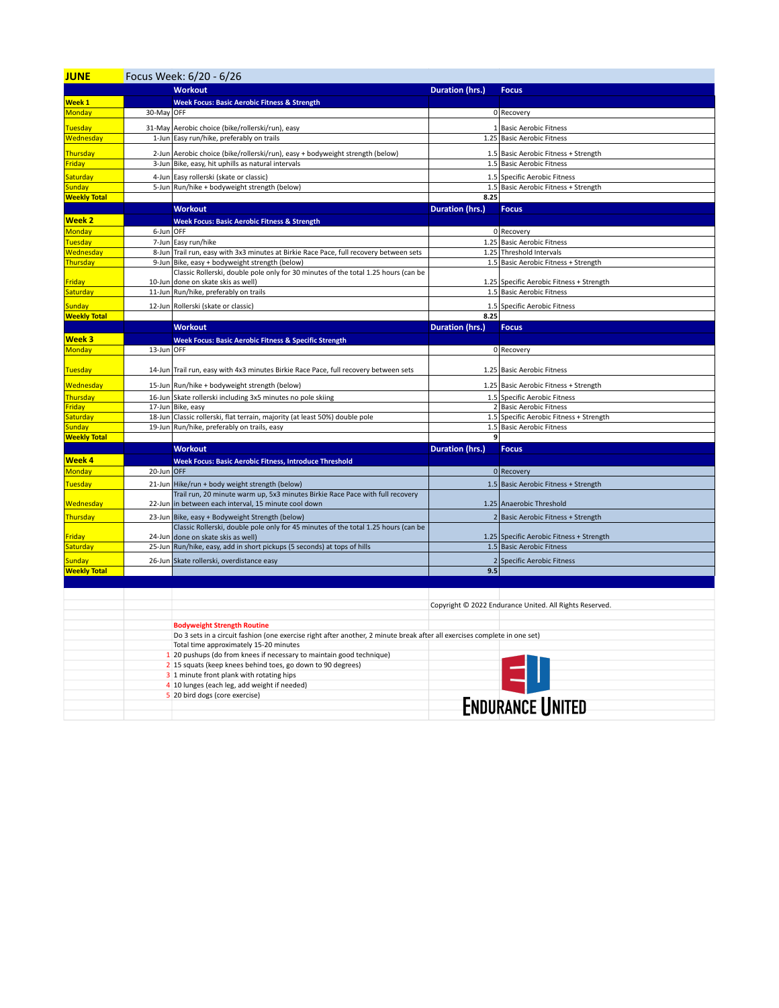| <b>JUNE</b>                          | Focus Week: 6/20 - 6/26 |                                                                                                                                      |                        |                                                         |  |
|--------------------------------------|-------------------------|--------------------------------------------------------------------------------------------------------------------------------------|------------------------|---------------------------------------------------------|--|
|                                      |                         | <b>Workout</b>                                                                                                                       | Duration (hrs.)        | <b>Focus</b>                                            |  |
| Week 1                               |                         | <b>Week Focus: Basic Aerobic Fitness &amp; Strength</b>                                                                              |                        |                                                         |  |
| Monday                               | 30-May OFF              |                                                                                                                                      |                        | 0 Recovery                                              |  |
|                                      |                         |                                                                                                                                      |                        |                                                         |  |
| <b>Tuesday</b><br>Wednesday          |                         | 31-May Aerobic choice (bike/rollerski/run), easy<br>1-Jun Easy run/hike, preferably on trails                                        |                        | 1 Basic Aerobic Fitness<br>1.25 Basic Aerobic Fitness   |  |
|                                      |                         |                                                                                                                                      |                        |                                                         |  |
| Thursday                             |                         | 2-Jun Aerobic choice (bike/rollerski/run), easy + bodyweight strength (below)                                                        |                        | 1.5 Basic Aerobic Fitness + Strength                    |  |
| Friday                               | 3-Jun                   | Bike, easy, hit uphills as natural intervals                                                                                         |                        | 1.5 Basic Aerobic Fitness                               |  |
| Saturday                             | 4-Jun                   | Easy rollerski (skate or classic)                                                                                                    |                        | 1.5 Specific Aerobic Fitness                            |  |
| <b>Sunday</b>                        |                         | 5-Jun Run/hike + bodyweight strength (below)                                                                                         |                        | 1.5 Basic Aerobic Fitness + Strength                    |  |
| <b>Weekly Total</b>                  |                         |                                                                                                                                      | 8.25                   |                                                         |  |
|                                      |                         | <b>Workout</b>                                                                                                                       | <b>Duration (hrs.)</b> | <b>Focus</b>                                            |  |
| <b>Week 2</b>                        |                         | <b>Week Focus: Basic Aerobic Fitness &amp; Strength</b>                                                                              |                        |                                                         |  |
| Monday                               | 6-Jun OFF               |                                                                                                                                      |                        | 0 Recovery                                              |  |
| Tuesday                              | 7-Jun                   | Easy run/hike                                                                                                                        |                        | 1.25 Basic Aerobic Fitness                              |  |
| Wednesday                            |                         | 8-Jun Trail run, easy with 3x3 minutes at Birkie Race Pace, full recovery between sets                                               |                        | 1.25 Threshold Intervals                                |  |
| Thursday                             |                         | 9-Jun Bike, easy + bodyweight strength (below)<br>Classic Rollerski, double pole only for 30 minutes of the total 1.25 hours (can be |                        | 1.5 Basic Aerobic Fitness + Strength                    |  |
| Friday                               | 10-Jun                  | done on skate skis as well)                                                                                                          |                        | 1.25 Specific Aerobic Fitness + Strength                |  |
| Saturday                             |                         | 11-Jun Run/hike, preferably on trails                                                                                                |                        | 1.5 Basic Aerobic Fitness                               |  |
|                                      |                         |                                                                                                                                      |                        |                                                         |  |
| <b>Sunday</b><br><b>Weekly Total</b> |                         | 12-Jun Rollerski (skate or classic)                                                                                                  | 8.25                   | 1.5 Specific Aerobic Fitness                            |  |
|                                      |                         | <b>Workout</b>                                                                                                                       | Duration (hrs.)        | <b>Focus</b>                                            |  |
| Week 3                               |                         |                                                                                                                                      |                        |                                                         |  |
| Monday                               | 13-Jun OFF              | <b>Week Focus: Basic Aerobic Fitness &amp; Specific Strength</b>                                                                     |                        | 0 Recovery                                              |  |
|                                      |                         |                                                                                                                                      |                        |                                                         |  |
| Tuesday                              |                         | 14-Jun Trail run, easy with 4x3 minutes Birkie Race Pace, full recovery between sets                                                 |                        | 1.25 Basic Aerobic Fitness                              |  |
|                                      |                         |                                                                                                                                      |                        |                                                         |  |
| Wednesday                            |                         | 15-Jun Run/hike + bodyweight strength (below)                                                                                        |                        | 1.25 Basic Aerobic Fitness + Strength                   |  |
| Thursday                             |                         | 16-Jun Skate rollerski including 3x5 minutes no pole skiing                                                                          |                        | 1.5 Specific Aerobic Fitness<br>2 Basic Aerobic Fitness |  |
| Friday<br>Saturday                   |                         | 17-Jun Bike, easy<br>18-Jun Classic rollerski, flat terrain, majority (at least 50%) double pole                                     |                        | 1.5 Specific Aerobic Fitness + Strength                 |  |
| <b>Sunday</b>                        |                         | 19-Jun Run/hike, preferably on trails, easy                                                                                          |                        | 1.5 Basic Aerobic Fitness                               |  |
| <b>Weekly Total</b>                  |                         |                                                                                                                                      | 9                      |                                                         |  |
|                                      |                         | <b>Workout</b>                                                                                                                       | Duration (hrs.)        | <b>Focus</b>                                            |  |
| Week 4                               |                         | <b>Week Focus: Basic Aerobic Fitness, Introduce Threshold</b>                                                                        |                        |                                                         |  |
| Monday                               | 20-Jun OFF              |                                                                                                                                      |                        | $0$ Recovery                                            |  |
| Tuesday                              |                         | 21-Jun Hike/run + body weight strength (below)                                                                                       |                        | 1.5 Basic Aerobic Fitness + Strength                    |  |
|                                      |                         | Trail run, 20 minute warm up, 5x3 minutes Birkie Race Pace with full recovery                                                        |                        |                                                         |  |
| Wednesday                            |                         | 22-Jun in between each interval, 15 minute cool down                                                                                 |                        | 1.25 Anaerobic Threshold                                |  |
| Thursday                             |                         | 23-Jun Bike, easy + Bodyweight Strength (below)                                                                                      |                        | 2 Basic Aerobic Fitness + Strength                      |  |
|                                      |                         | Classic Rollerski, double pole only for 45 minutes of the total 1.25 hours (can be                                                   |                        |                                                         |  |
| Friday                               |                         | 24-Jun done on skate skis as well)                                                                                                   |                        | 1.25 Specific Aerobic Fitness + Strength                |  |
| <mark>Saturday</mark>                |                         | 25-Jun Run/hike, easy, add in short pickups (5 seconds) at tops of hills                                                             |                        | 1.5 Basic Aerobic Fitness                               |  |
| Sunday                               | 26-Jun                  | Skate rollerski, overdistance easy                                                                                                   | $\overline{2}$         | Specific Aerobic Fitness                                |  |
| <b>Weekly Total</b>                  |                         |                                                                                                                                      | 9.5                    |                                                         |  |
|                                      |                         |                                                                                                                                      |                        |                                                         |  |
|                                      |                         |                                                                                                                                      |                        |                                                         |  |
|                                      |                         |                                                                                                                                      |                        | Copyright © 2022 Endurance United. All Rights Reserved. |  |
|                                      |                         |                                                                                                                                      |                        |                                                         |  |
|                                      |                         | <b>Bodyweight Strength Routine</b>                                                                                                   |                        |                                                         |  |
|                                      |                         | Do 3 sets in a circuit fashion (one exercise right after another, 2 minute break after all exercises complete in one set)            |                        |                                                         |  |
|                                      |                         | Total time approximately 15-20 minutes<br>1 20 pushups (do from knees if necessary to maintain good technique)                       |                        |                                                         |  |
|                                      |                         | 2 15 squats (keep knees behind toes, go down to 90 degrees)                                                                          |                        |                                                         |  |
|                                      |                         | 3 1 minute front plank with rotating hips                                                                                            |                        |                                                         |  |
|                                      |                         | 4 10 lunges (each leg, add weight if needed)                                                                                         |                        |                                                         |  |
|                                      |                         | 5 20 bird dogs (core exercise)                                                                                                       |                        |                                                         |  |
|                                      |                         |                                                                                                                                      |                        | <b>ENDURANCE UNITED</b>                                 |  |
|                                      |                         |                                                                                                                                      |                        |                                                         |  |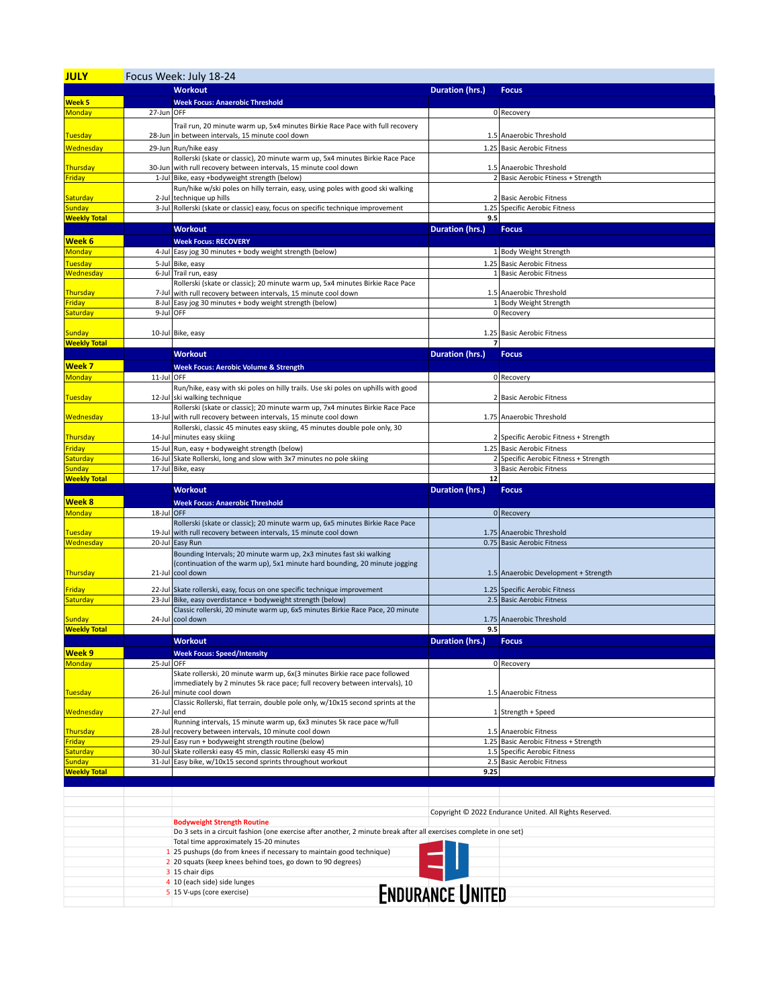| <b>JULY</b>                          | Focus Week: July 18-24 |                                                                                                                                                               |                         |                                                           |  |
|--------------------------------------|------------------------|---------------------------------------------------------------------------------------------------------------------------------------------------------------|-------------------------|-----------------------------------------------------------|--|
|                                      |                        | <b>Workout</b>                                                                                                                                                | <b>Duration (hrs.)</b>  | <b>Focus</b>                                              |  |
| Week <sub>5</sub>                    |                        | <b>Week Focus: Anaerobic Threshold</b>                                                                                                                        |                         |                                                           |  |
| <b>Monday</b>                        | 27-Jun OFF             |                                                                                                                                                               |                         | 0 Recovery                                                |  |
|                                      |                        | Trail run, 20 minute warm up, 5x4 minutes Birkie Race Pace with full recovery                                                                                 |                         |                                                           |  |
| <b>Tuesday</b>                       |                        | 28-Jun in between intervals, 15 minute cool down                                                                                                              |                         | 1.5 Anaerobic Threshold                                   |  |
| Wednesday                            |                        | 29-Jun Run/hike easy                                                                                                                                          |                         | 1.25 Basic Aerobic Fitness                                |  |
|                                      |                        | Rollerski (skate or classic), 20 minute warm up, 5x4 minutes Birkie Race Pace                                                                                 |                         |                                                           |  |
| <b>Thursday</b>                      |                        | 30-Jun with rull recovery between intervals, 15 minute cool down                                                                                              |                         | 1.5 Anaerobic Threshold                                   |  |
| <b>Friday</b>                        |                        | 1-Jul Bike, easy +bodyweight strength (below)                                                                                                                 |                         | 2 Basic Aerobic Ftiness + Strength                        |  |
|                                      |                        | Run/hike w/ski poles on hilly terrain, easy, using poles with good ski walking                                                                                |                         |                                                           |  |
| <b>Saturday</b>                      |                        | 2-Jul technique up hills                                                                                                                                      |                         | 2 Basic Aerobic Fitness                                   |  |
| <b>Sunday</b><br><b>Weekly Total</b> |                        | 3-Jul Rollerski (skate or classic) easy, focus on specific technique improvement                                                                              | 9.5                     | 1.25 Specific Aerobic Fitness                             |  |
|                                      |                        | <b>Workout</b>                                                                                                                                                | Duration (hrs.)         | <b>Focus</b>                                              |  |
| Week <sub>6</sub>                    |                        | <b>Week Focus: RECOVERY</b>                                                                                                                                   |                         |                                                           |  |
| <b>Monday</b>                        |                        | 4-Jul Easy jog 30 minutes + body weight strength (below)                                                                                                      |                         | 1 Body Weight Strength                                    |  |
| <b>Tuesday</b>                       | 5-Jul                  | Bike, easy                                                                                                                                                    |                         | 1.25 Basic Aerobic Fitness                                |  |
| Wednesday                            |                        | 6-Jul Trail run, easy                                                                                                                                         |                         | 1 Basic Aerobic Fitness                                   |  |
|                                      |                        | Rollerski (skate or classic); 20 minute warm up, 5x4 minutes Birkie Race Pace                                                                                 |                         |                                                           |  |
| <b>Thursday</b>                      |                        | 7-Jul with rull recovery between intervals, 15 minute cool down                                                                                               |                         | 1.5 Anaerobic Threshold                                   |  |
| <b>Friday</b>                        |                        | 8-Jul Easy jog 30 minutes + body weight strength (below)                                                                                                      |                         | 1 Body Weight Strength                                    |  |
| Saturday                             |                        | 9-Jul OFF                                                                                                                                                     |                         | 0 Recovery                                                |  |
| <b>Sunday</b>                        |                        | 10-Jul Bike, easy                                                                                                                                             |                         | 1.25 Basic Aerobic Fitness                                |  |
| <b>Weekly Total</b>                  |                        |                                                                                                                                                               |                         |                                                           |  |
|                                      |                        | <b>Workout</b>                                                                                                                                                | Duration (hrs.)         | <b>Focus</b>                                              |  |
| Week <sub>7</sub>                    |                        | <b>Week Focus: Aerobic Volume &amp; Strength</b>                                                                                                              |                         |                                                           |  |
| Monday                               | 11-Jul OFF             |                                                                                                                                                               |                         | 0 Recovery                                                |  |
|                                      |                        | Run/hike, easy with ski poles on hilly trails. Use ski poles on uphills with good                                                                             |                         |                                                           |  |
| <b>Tuesday</b>                       | 12-Jul                 | ski walking technique                                                                                                                                         |                         | 2 Basic Aerobic Fitness                                   |  |
|                                      |                        | Rollerski (skate or classic); 20 minute warm up, 7x4 minutes Birkie Race Pace                                                                                 |                         |                                                           |  |
| Wednesday                            |                        | 13-Jul with rull recovery between intervals, 15 minute cool down                                                                                              |                         | 1.75 Anaerobic Threshold                                  |  |
| <b>Thursday</b>                      |                        | Rollerski, classic 45 minutes easy skiing, 45 minutes double pole only, 30<br>14-Jul minutes easy skiing                                                      |                         | 2 Specific Aerobic Fitness + Strength                     |  |
| <b>Friday</b>                        |                        | 15-Jul Run, easy + bodyweight strength (below)                                                                                                                |                         | 1.25 Basic Aerobic Fitness                                |  |
| Saturday                             | 16-Jul                 | Skate Rollerski, long and slow with 3x7 minutes no pole skiing                                                                                                |                         | 2 Specific Aerobic Fitness + Strength                     |  |
| <b>Sunday</b>                        |                        | 17-Jul Bike, easy                                                                                                                                             |                         | 3 Basic Aerobic Fitness                                   |  |
| <b>Weekly Total</b>                  |                        |                                                                                                                                                               | 12                      |                                                           |  |
|                                      |                        |                                                                                                                                                               |                         |                                                           |  |
|                                      |                        | <b>Workout</b>                                                                                                                                                | Duration (hrs.)         | <b>Focus</b>                                              |  |
| Week 8                               |                        | <b>Week Focus: Anaerobic Threshold</b>                                                                                                                        |                         |                                                           |  |
| <b>Monday</b>                        | 18-Jul OFF             |                                                                                                                                                               |                         | 0 Recovery                                                |  |
|                                      |                        | Rollerski (skate or classic); 20 minute warm up, 6x5 minutes Birkie Race Pace                                                                                 |                         |                                                           |  |
| <b>Tuesday</b>                       | 19-Jul                 | with rull recovery between intervals, 15 minute cool down                                                                                                     |                         | 1.75 Anaerobic Threshold                                  |  |
| Wednesday                            | 20-Jul                 | Easy Run                                                                                                                                                      |                         | 0.75 Basic Aerobic Fitness                                |  |
|                                      |                        | Bounding Intervals; 20 minute warm up, 2x3 minutes fast ski walking<br>(continuation of the warm up), 5x1 minute hard bounding, 20 minute jogging             |                         |                                                           |  |
| Thursday                             |                        | 21-Jul cool down                                                                                                                                              |                         | 1.5 Anaerobic Development + Strength                      |  |
|                                      |                        |                                                                                                                                                               |                         |                                                           |  |
| <b>Friday</b>                        | $23$ -Jul              | 22-Jul Skate rollerski, easy, focus on one specific technique improvement<br>Bike, easy overdistance + bodyweight strength (below)                            |                         | 1.25 Specific Aerobic Fitness                             |  |
| Saturday                             |                        | Classic rollerski, 20 minute warm up, 6x5 minutes Birkie Race Pace, 20 minute                                                                                 |                         | 2.5 Basic Aerobic Fitness                                 |  |
| <b>Sunday</b>                        |                        | 24-Jul cool down                                                                                                                                              |                         | 1.75 Anaerobic Threshold                                  |  |
| <b>Weekly Total</b>                  |                        |                                                                                                                                                               | 9.5                     |                                                           |  |
|                                      |                        | <b>Workout</b>                                                                                                                                                | Duration (hrs.)         | <b>Focus</b>                                              |  |
| Week 9                               |                        | <b>Week Focus: Speed/Intensity</b>                                                                                                                            |                         |                                                           |  |
| <b>Monday</b>                        | 25-Jul OFF             |                                                                                                                                                               |                         | 0 Recovery                                                |  |
|                                      |                        | Skate rollerski, 20 minute warm up, 6x(3 minutes Birkie race pace followed                                                                                    |                         |                                                           |  |
| <b>Tuesday</b>                       |                        | immediately by 2 minutes 5k race pace; full recovery between intervals), 10<br>26-Jul minute cool down                                                        |                         | 1.5 Anaerobic Fitness                                     |  |
|                                      |                        | Classic Rollerski, flat terrain, double pole only, w/10x15 second sprints at the                                                                              |                         |                                                           |  |
| Wednesday                            | 27-Jul end             |                                                                                                                                                               |                         | 1 Strength + Speed                                        |  |
|                                      |                        | Running intervals, 15 minute warm up, 6x3 minutes 5k race pace w/full                                                                                         |                         |                                                           |  |
| Thursday                             |                        | 28-Jul recovery between intervals, 10 minute cool down                                                                                                        |                         | 1.5 Anaerobic Fitness                                     |  |
| <b>Friday</b>                        |                        | 29-Jul Easy run + bodyweight strength routine (below)                                                                                                         |                         | 1.25 Basic Aerobic Fitness + Strength                     |  |
| Saturday<br>Sunday                   |                        | 30-Jul Skate rollerski easy 45 min, classic Rollerski easy 45 min<br>31-Jul Easy bike, w/10x15 second sprints throughout workout                              |                         | 1.5 Specific Aerobic Fitness<br>2.5 Basic Aerobic Fitness |  |
| <b>Weekly Total</b>                  |                        |                                                                                                                                                               | 9.25                    |                                                           |  |
|                                      |                        |                                                                                                                                                               |                         |                                                           |  |
|                                      |                        |                                                                                                                                                               |                         |                                                           |  |
|                                      |                        |                                                                                                                                                               |                         |                                                           |  |
|                                      |                        |                                                                                                                                                               |                         | Copyright © 2022 Endurance United. All Rights Reserved.   |  |
|                                      |                        | <b>Bodyweight Strength Routine</b>                                                                                                                            |                         |                                                           |  |
|                                      |                        | Do 3 sets in a circuit fashion (one exercise after another, 2 minute break after all exercises complete in one set)<br>Total time approximately 15-20 minutes |                         |                                                           |  |
|                                      |                        | 1 25 pushups (do from knees if necessary to maintain good technique)                                                                                          |                         |                                                           |  |
|                                      |                        | 2 20 squats (keep knees behind toes, go down to 90 degrees)                                                                                                   |                         |                                                           |  |
|                                      |                        | 3 15 chair dips                                                                                                                                               |                         |                                                           |  |
|                                      |                        | 4 10 (each side) side lunges<br>5 15 V-ups (core exercise)                                                                                                    | <b>ENDURANCE UNITED</b> |                                                           |  |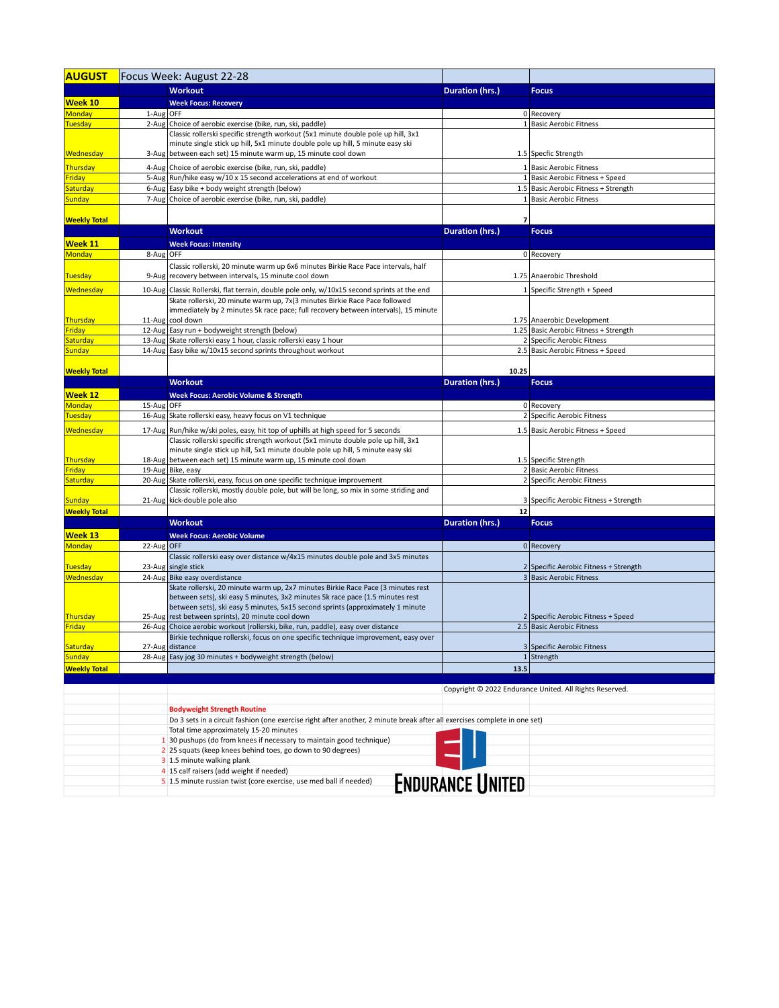| <b>AUGUST</b>             | Focus Week: August 22-28 |                                                                                                                                                                   |                         |                                                                 |  |
|---------------------------|--------------------------|-------------------------------------------------------------------------------------------------------------------------------------------------------------------|-------------------------|-----------------------------------------------------------------|--|
|                           |                          | <b>Workout</b>                                                                                                                                                    | Duration (hrs.)         | <b>Focus</b>                                                    |  |
| <b>Week 10</b>            |                          | <b>Week Focus: Recovery</b>                                                                                                                                       |                         |                                                                 |  |
| <b>Monday</b>             | 1-Aug OFF                |                                                                                                                                                                   |                         | 0 Recovery                                                      |  |
| <b>Tuesday</b>            |                          | 2-Aug Choice of aerobic exercise (bike, run, ski, paddle)                                                                                                         |                         | 1 Basic Aerobic Fitness                                         |  |
|                           |                          | Classic rollerski specific strength workout (5x1 minute double pole up hill, 3x1                                                                                  |                         |                                                                 |  |
|                           |                          | minute single stick up hill, 5x1 minute double pole up hill, 5 minute easy ski                                                                                    |                         |                                                                 |  |
| <b>Wednesday</b>          |                          | 3-Aug between each set) 15 minute warm up, 15 minute cool down                                                                                                    |                         | 1.5 Specfic Strength                                            |  |
| Thursday                  |                          | 4-Aug Choice of aerobic exercise (bike, run, ski, paddle)                                                                                                         |                         | 1 Basic Aerobic Fitness                                         |  |
| Friday                    |                          | 5-Aug   Run/hike easy w/10 x 15 second accelerations at end of workout                                                                                            |                         | 1 Basic Aerobic Fitness + Speed                                 |  |
| Saturday<br><b>Sunday</b> |                          | 6-Aug Easy bike + body weight strength (below)<br>7-Aug Choice of aerobic exercise (bike, run, ski, paddle)                                                       |                         | 1.5 Basic Aerobic Fitness + Strength<br>1 Basic Aerobic Fitness |  |
|                           |                          |                                                                                                                                                                   |                         |                                                                 |  |
| <b>Weekly Total</b>       |                          |                                                                                                                                                                   |                         |                                                                 |  |
|                           |                          | <b>Workout</b>                                                                                                                                                    | Duration (hrs.)         | <b>Focus</b>                                                    |  |
| Week 11                   |                          | <b>Week Focus: Intensity</b>                                                                                                                                      |                         |                                                                 |  |
| <b>Monday</b>             | 8-Aug OFF                |                                                                                                                                                                   |                         | 0 Recovery                                                      |  |
|                           |                          | Classic rollerski, 20 minute warm up 6x6 minutes Birkie Race Pace intervals, half                                                                                 |                         |                                                                 |  |
| <b>Tuesday</b>            |                          | 9-Aug recovery between intervals, 15 minute cool down                                                                                                             |                         | 1.75 Anaerobic Threshold                                        |  |
| Wednesday                 |                          | 10-Aug Classic Rollerski, flat terrain, double pole only, w/10x15 second sprints at the end                                                                       |                         | 1 Specific Strength + Speed                                     |  |
|                           |                          | Skate rollerski, 20 minute warm up, 7x(3 minutes Birkie Race Pace followed                                                                                        |                         |                                                                 |  |
|                           |                          | immediately by 2 minutes 5k race pace; full recovery between intervals), 15 minute                                                                                |                         |                                                                 |  |
| Thursday                  |                          | 11-Aug cool down                                                                                                                                                  |                         | 1.75 Anaerobic Development                                      |  |
| Friday                    |                          | 12-Aug Easy run + bodyweight strength (below)                                                                                                                     |                         | 1.25 Basic Aerobic Fitness + Strength                           |  |
| Saturday<br><b>Sunday</b> |                          | 13-Aug Skate rollerski easy 1 hour, classic rollerski easy 1 hour<br>14-Aug Easy bike w/10x15 second sprints throughout workout                                   |                         | 2 Specific Aerobic Fitness<br>2.5 Basic Aerobic Fitness + Speed |  |
|                           |                          |                                                                                                                                                                   |                         |                                                                 |  |
| <b>Weekly Total</b>       |                          |                                                                                                                                                                   | 10.25                   |                                                                 |  |
|                           |                          | <b>Workout</b>                                                                                                                                                    | Duration (hrs.)         | <b>Focus</b>                                                    |  |
| <b>Week 12</b>            |                          | <b>Week Focus: Aerobic Volume &amp; Strength</b>                                                                                                                  |                         |                                                                 |  |
| <b>Monday</b>             | 15-Aug OFF               |                                                                                                                                                                   |                         | 0 Recovery                                                      |  |
| <b>Tuesday</b>            |                          | 16-Aug Skate rollerski easy, heavy focus on V1 technique                                                                                                          |                         | 2 Specific Aerobic Fitness                                      |  |
| Wednesday                 |                          | 17-Aug Run/hike w/ski poles, easy, hit top of uphills at high speed for 5 seconds                                                                                 |                         | 1.5 Basic Aerobic Fitness + Speed                               |  |
|                           |                          | Classic rollerski specific strength workout (5x1 minute double pole up hill, 3x1                                                                                  |                         |                                                                 |  |
|                           |                          | minute single stick up hill, 5x1 minute double pole up hill, 5 minute easy ski                                                                                    |                         |                                                                 |  |
| Thursday                  |                          | 18-Aug between each set) 15 minute warm up, 15 minute cool down                                                                                                   |                         | 1.5 Specific Strength                                           |  |
| Friday                    |                          | 19-Aug Bike, easy                                                                                                                                                 |                         | 2 Basic Aerobic Fitness                                         |  |
| Saturday                  |                          | 20-Aug Skate rollerski, easy, focus on one specific technique improvement<br>Classic rollerski, mostly double pole, but will be long, so mix in some striding and |                         | 2 Specific Aerobic Fitness                                      |  |
| <b>Sunday</b>             |                          | 21-Aug kick-double pole also                                                                                                                                      |                         | 3 Specific Aerobic Fitness + Strength                           |  |
| <b>Weekly Total</b>       |                          |                                                                                                                                                                   | 12                      |                                                                 |  |
|                           |                          | <b>Workout</b>                                                                                                                                                    | Duration (hrs.)         | <b>Focus</b>                                                    |  |
| <b>Week 13</b>            |                          | <b>Week Focus: Aerobic Volume</b>                                                                                                                                 |                         |                                                                 |  |
| <b>Monday</b>             | 22-Aug OFF               |                                                                                                                                                                   |                         | $0$ Recovery                                                    |  |
|                           |                          | Classic rollerski easy over distance w/4x15 minutes double pole and 3x5 minutes                                                                                   |                         |                                                                 |  |
| <b>Tuesday</b>            |                          | 23-Aug single stick                                                                                                                                               |                         | 2 Specific Aerobic Fitness + Strength                           |  |
| Wednesday                 |                          | 24-Aug Bike easy overdistance                                                                                                                                     |                         | 3 Basic Aerobic Fitness                                         |  |
|                           |                          | Skate rollerski, 20 minute warm up, 2x7 minutes Birkie Race Pace (3 minutes rest                                                                                  |                         |                                                                 |  |
|                           |                          | between sets), ski easy 5 minutes, 3x2 minutes 5k race pace (1.5 minutes rest<br>between sets), ski easy 5 minutes, 5x15 second sprints (approximately 1 minute   |                         |                                                                 |  |
| Thursday                  |                          | 25-Aug rest between sprints), 20 minute cool down                                                                                                                 |                         | 2 Specific Aerobic Fitness + Speed                              |  |
| Friday                    |                          | 26-Aug Choice aerobic workout (rollerski, bike, run, paddle), easy over distance                                                                                  |                         | 2.5 Basic Aerobic Fitness                                       |  |
|                           |                          | Birkie technique rollerski, focus on one specific technique improvement, easy over                                                                                |                         |                                                                 |  |
| Saturday                  |                          | 27-Aug distance                                                                                                                                                   |                         | 3 Specific Aerobic Fitness                                      |  |
| <b>Sunday</b>             |                          | 28-Aug Easy jog 30 minutes + bodyweight strength (below)                                                                                                          |                         | $1$ Strength                                                    |  |
| <b>Weekly Total</b>       |                          |                                                                                                                                                                   | 13.5                    |                                                                 |  |
|                           |                          |                                                                                                                                                                   |                         |                                                                 |  |
|                           |                          |                                                                                                                                                                   |                         | Copyright © 2022 Endurance United. All Rights Reserved.         |  |
|                           |                          | <b>Bodyweight Strength Routine</b>                                                                                                                                |                         |                                                                 |  |
|                           |                          | Do 3 sets in a circuit fashion (one exercise right after another, 2 minute break after all exercises complete in one set)                                         |                         |                                                                 |  |
|                           |                          | Total time approximately 15-20 minutes                                                                                                                            |                         |                                                                 |  |
|                           |                          | 1 30 pushups (do from knees if necessary to maintain good technique)                                                                                              |                         |                                                                 |  |
|                           |                          | 2 25 squats (keep knees behind toes, go down to 90 degrees)                                                                                                       |                         |                                                                 |  |
|                           |                          | 3 1.5 minute walking plank                                                                                                                                        |                         |                                                                 |  |
|                           |                          | 4 15 calf raisers (add weight if needed)<br>5 1.5 minute russian twist (core exercise, use med ball if needed)                                                    |                         |                                                                 |  |
|                           |                          |                                                                                                                                                                   | <b>ENDURANCE UNITED</b> |                                                                 |  |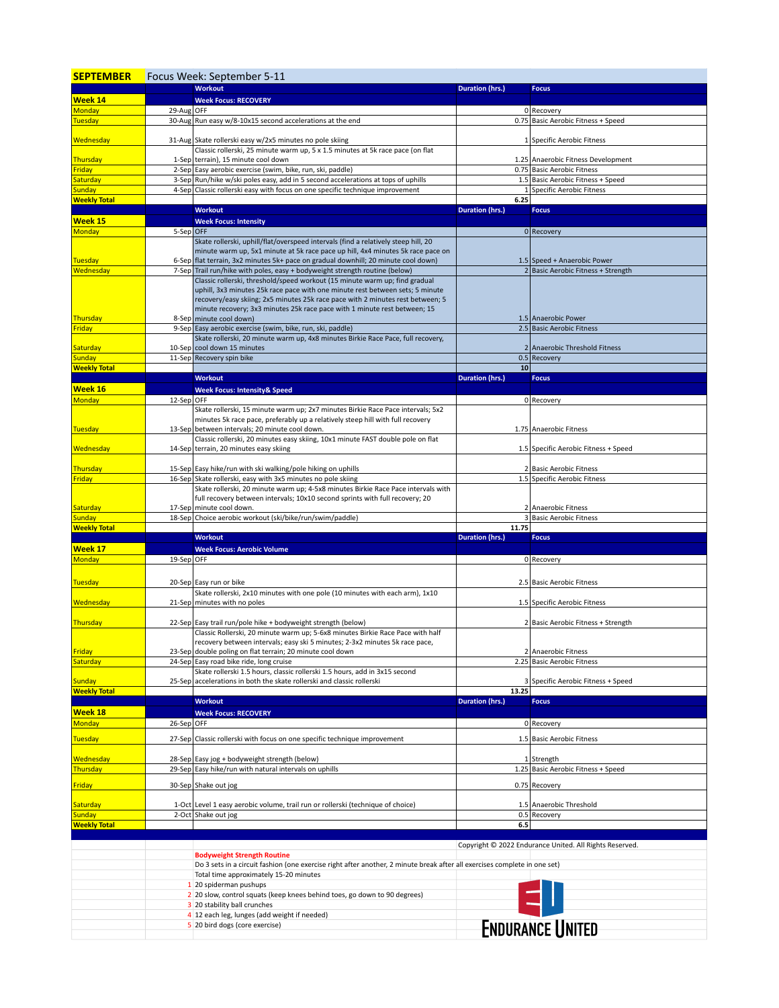| <b>SEPTEMBER</b>              |            | Focus Week: September 5-11                                                                                                                                                                                                                                                                                                                             |                        |                                                         |
|-------------------------------|------------|--------------------------------------------------------------------------------------------------------------------------------------------------------------------------------------------------------------------------------------------------------------------------------------------------------------------------------------------------------|------------------------|---------------------------------------------------------|
|                               |            | <b>Workout</b>                                                                                                                                                                                                                                                                                                                                         | Duration (hrs.)        | <b>Focus</b>                                            |
| Week 14<br><b>Monday</b>      | 29-Aug OFF | <b>Week Focus: RECOVERY</b>                                                                                                                                                                                                                                                                                                                            |                        | 0 Recovery                                              |
| <b>Tuesday</b>                |            | 30-Aug Run easy w/8-10x15 second accelerations at the end                                                                                                                                                                                                                                                                                              |                        | 0.75 Basic Aerobic Fitness + Speed                      |
| Wednesday                     |            | 31-Aug Skate rollerski easy w/2x5 minutes no pole skiing                                                                                                                                                                                                                                                                                               |                        | 1 Specific Aerobic Fitness                              |
| <b>Thursday</b>               |            | Classic rollerski, 25 minute warm up, 5 x 1.5 minutes at 5k race pace (on flat<br>1-Sep terrain), 15 minute cool down                                                                                                                                                                                                                                  |                        | 1.25 Anaerobic Fitness Development                      |
| Friday                        |            | 2-Sep Easy aerobic exercise (swim, bike, run, ski, paddle)                                                                                                                                                                                                                                                                                             |                        | 0.75 Basic Aerobic Fitness                              |
| Saturday                      |            | 3-Sep Run/hike w/ski poles easy, add in 5 second accelerations at tops of uphills                                                                                                                                                                                                                                                                      |                        | 1.5 Basic Aerobic Fitness + Speed                       |
| Sunday<br><b>Weekly Total</b> |            | 4-Sep Classic rollerski easy with focus on one specific technique improvement                                                                                                                                                                                                                                                                          | 6.25                   | 1 Specific Aerobic Fitness                              |
|                               |            | <b>Workout</b>                                                                                                                                                                                                                                                                                                                                         | <b>Duration (hrs.)</b> | <b>Focus</b>                                            |
| Week 15                       |            | <b>Week Focus: Intensity</b>                                                                                                                                                                                                                                                                                                                           |                        |                                                         |
| Monday                        | 5-Sep OFF  |                                                                                                                                                                                                                                                                                                                                                        |                        | 0 Recovery                                              |
| <b>Tuesday</b>                |            | Skate rollerski, uphill/flat/overspeed intervals (find a relatively steep hill, 20<br>minute warm up, 5x1 minute at 5k race pace up hill, 4x4 minutes 5k race pace on<br>6-Sep   flat terrain, 3x2 minutes 5k+ pace on gradual downhill; 20 minute cool down)                                                                                          |                        | 1.5 Speed + Anaerobic Power                             |
| Wednesday                     |            | 7-Sep Trail run/hike with poles, easy + bodyweight strength routine (below)                                                                                                                                                                                                                                                                            |                        | 2 Basic Aerobic Fitness + Strength                      |
| Thursday                      |            | Classic rollerski, threshold/speed workout (15 minute warm up; find gradual<br>uphill, 3x3 minutes 25k race pace with one minute rest between sets; 5 minute<br>recovery/easy skiing; 2x5 minutes 25k race pace with 2 minutes rest between; 5<br>minute recovery; 3x3 minutes 25k race pace with 1 minute rest between; 15<br>8-Sep minute cool down) |                        | 1.5 Anaerobic Power                                     |
| Friday                        |            | 9-Sep Easy aerobic exercise (swim, bike, run, ski, paddle)                                                                                                                                                                                                                                                                                             |                        | 2.5 Basic Aerobic Fitness                               |
|                               |            | Skate rollerski, 20 minute warm up, 4x8 minutes Birkie Race Pace, full recovery,                                                                                                                                                                                                                                                                       |                        |                                                         |
| Saturday                      |            | 10-Sep cool down 15 minutes                                                                                                                                                                                                                                                                                                                            |                        | 2 Anaerobic Threshold Fitness                           |
| Sunday<br><b>Weekly Total</b> |            | 11-Sep Recovery spin bike                                                                                                                                                                                                                                                                                                                              | 10                     | 0.5 Recovery                                            |
|                               |            | <b>Workout</b>                                                                                                                                                                                                                                                                                                                                         | Duration (hrs.)        | <b>Focus</b>                                            |
| Week 16                       |            | <b>Week Focus: Intensity&amp; Speed</b>                                                                                                                                                                                                                                                                                                                |                        |                                                         |
| Monday<br>Tuesday             | 12-Sep OFF | Skate rollerski, 15 minute warm up; 2x7 minutes Birkie Race Pace intervals; 5x2<br>minutes 5k race pace, preferably up a relatively steep hill with full recovery<br>13-Sep between intervals; 20 minute cool down.                                                                                                                                    |                        | 0 Recovery<br>1.75 Anaerobic Fitness                    |
| Wednesday                     |            | Classic rollerski, 20 minutes easy skiing, 10x1 minute FAST double pole on flat<br>14-Sep terrain, 20 minutes easy skiing                                                                                                                                                                                                                              |                        | 1.5 Specific Aerobic Fitness + Speed                    |
| Thursday                      |            | 15-Sep Easy hike/run with ski walking/pole hiking on uphills                                                                                                                                                                                                                                                                                           |                        | 2 Basic Aerobic Fitness                                 |
| Friday                        |            | 16-Sep Skate rollerski, easy with 3x5 minutes no pole skiing                                                                                                                                                                                                                                                                                           |                        | 1.5 Specific Aerobic Fitness                            |
|                               |            | Skate rollerski, 20 minute warm up; 4-5x8 minutes Birkie Race Pace intervals with<br>full recovery between intervals; 10x10 second sprints with full recovery; 20                                                                                                                                                                                      |                        |                                                         |
| Saturday<br>Sunday            |            | 17-Sep minute cool down.<br>18-Sep Choice aerobic workout (ski/bike/run/swim/paddle)                                                                                                                                                                                                                                                                   |                        | 2 Anaerobic Fitness<br>3 Basic Aerobic Fitness          |
| <b>Weekly Total</b>           |            |                                                                                                                                                                                                                                                                                                                                                        | 11.75                  |                                                         |
|                               |            | <b>Workout</b>                                                                                                                                                                                                                                                                                                                                         | Duration (hrs.)        | <b>Focus</b>                                            |
| Week 17<br>Monday             | 19-Sep OFF | <b>Week Focus: Aerobic Volume</b>                                                                                                                                                                                                                                                                                                                      |                        | 0 Recovery                                              |
| <b>Tuesday</b>                |            | 20-Sep Easy run or bike                                                                                                                                                                                                                                                                                                                                |                        | 2.5 Basic Aerobic Fitness                               |
| Wednesday                     |            | Skate rollerski, 2x10 minutes with one pole (10 minutes with each arm), 1x10<br>21-Sep minutes with no poles                                                                                                                                                                                                                                           |                        | 1.5 Specific Aerobic Fitness                            |
| Thursday                      |            | 22-Sep Easy trail run/pole hike + bodyweight strength (below)                                                                                                                                                                                                                                                                                          |                        | 2 Basic Aerobic Fitness + Strength                      |
|                               |            | Classic Rollerski, 20 minute warm up; 5-6x8 minutes Birkie Race Pace with half<br>recovery between intervals; easy ski 5 minutes; 2-3x2 minutes 5k race pace                                                                                                                                                                                           |                        |                                                         |
| Friday<br>Saturday            |            | 23-Sep double poling on flat terrain; 20 minute cool down<br>24-Sep Easy road bike ride, long cruise                                                                                                                                                                                                                                                   |                        | 2 Anaerobic Fitness<br>2.25 Basic Aerobic Fitness       |
| <b>Sunday</b>                 |            | Skate rollerski 1.5 hours, classic rollerski 1.5 hours, add in 3x15 second<br>25-Sep accelerations in both the skate rollerski and classic rollerski                                                                                                                                                                                                   |                        | 3 Specific Aerobic Fitness + Speed                      |
| <b>Weekly Total</b>           |            |                                                                                                                                                                                                                                                                                                                                                        | 13.25                  |                                                         |
| Week 18                       |            | Workout                                                                                                                                                                                                                                                                                                                                                | <b>Duration (hrs.)</b> | <b>Focus</b>                                            |
| <b>Monday</b>                 |            |                                                                                                                                                                                                                                                                                                                                                        |                        |                                                         |
|                               |            | <b>Week Focus: RECOVERY</b>                                                                                                                                                                                                                                                                                                                            |                        |                                                         |
| <b>Tuesday</b>                | 26-Sep OFF | 27-Sep Classic rollerski with focus on one specific technique improvement                                                                                                                                                                                                                                                                              |                        | 0 Recovery<br>1.5 Basic Aerobic Fitness                 |
| Wednesday                     |            | 28-Sep Easy jog + bodyweight strength (below)<br>29-Sep Easy hike/run with natural intervals on uphills                                                                                                                                                                                                                                                |                        | 1 Strength<br>1.25 Basic Aerobic Fitness + Speed        |
| Thursday<br><b>Friday</b>     |            | 30-Sep Shake out jog                                                                                                                                                                                                                                                                                                                                   |                        | 0.75 Recovery                                           |
|                               |            |                                                                                                                                                                                                                                                                                                                                                        |                        |                                                         |
| <b>Saturday</b><br>Sunday     |            | 1-Oct Level 1 easy aerobic volume, trail run or rollerski (technique of choice)<br>2-Oct Shake out jog                                                                                                                                                                                                                                                 |                        | 1.5 Anaerobic Threshold<br>0.5 Recovery                 |
| <b>Weekly Total</b>           |            |                                                                                                                                                                                                                                                                                                                                                        | $6.5\,$                |                                                         |
|                               |            |                                                                                                                                                                                                                                                                                                                                                        |                        |                                                         |
|                               |            | <b>Bodyweight Strength Routine</b>                                                                                                                                                                                                                                                                                                                     |                        | Copyright © 2022 Endurance United. All Rights Reserved. |
|                               |            | Do 3 sets in a circuit fashion (one exercise right after another, 2 minute break after all exercises complete in one set)                                                                                                                                                                                                                              |                        |                                                         |
|                               |            | Total time approximately 15-20 minutes                                                                                                                                                                                                                                                                                                                 |                        |                                                         |
|                               |            | 1 20 spiderman pushups<br>2 20 slow, control squats (keep knees behind toes, go down to 90 degrees)                                                                                                                                                                                                                                                    |                        |                                                         |
|                               |            | 3 20 stability ball crunches                                                                                                                                                                                                                                                                                                                           |                        |                                                         |
|                               |            | 4 12 each leg, lunges (add weight if needed)<br>5 20 bird dogs (core exercise)                                                                                                                                                                                                                                                                         |                        | <b>ENDURANCE UNITED</b>                                 |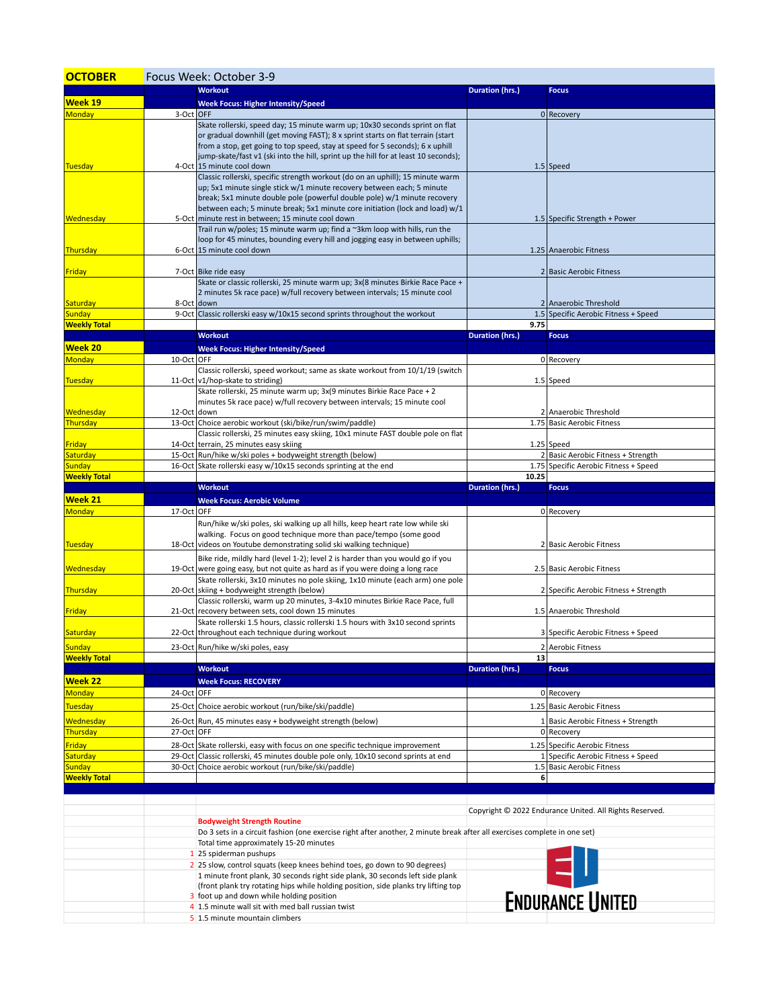| <b>OCTOBER</b>                       | Focus Week: October 3-9 |                                                                                                                                                                     |                        |                                                                 |  |  |
|--------------------------------------|-------------------------|---------------------------------------------------------------------------------------------------------------------------------------------------------------------|------------------------|-----------------------------------------------------------------|--|--|
|                                      |                         | <b>Workout</b>                                                                                                                                                      | Duration (hrs.)        | <b>Focus</b>                                                    |  |  |
| Week 19                              |                         | <b>Week Focus: Higher Intensity/Speed</b>                                                                                                                           |                        |                                                                 |  |  |
| <b>Monday</b>                        | 3-Oct OFF               |                                                                                                                                                                     |                        | 0 Recovery                                                      |  |  |
|                                      |                         | Skate rollerski, speed day; 15 minute warm up; 10x30 seconds sprint on flat                                                                                         |                        |                                                                 |  |  |
|                                      |                         | or gradual downhill (get moving FAST); 8 x sprint starts on flat terrain (start<br>from a stop, get going to top speed, stay at speed for 5 seconds); 6 x uphill    |                        |                                                                 |  |  |
|                                      |                         | jump-skate/fast v1 (ski into the hill, sprint up the hill for at least 10 seconds);                                                                                 |                        |                                                                 |  |  |
| <b>Tuesday</b>                       |                         | 4-Oct 15 minute cool down                                                                                                                                           |                        | $1.5$ Speed                                                     |  |  |
|                                      |                         | Classic rollerski, specific strength workout (do on an uphill); 15 minute warm<br>up; 5x1 minute single stick w/1 minute recovery between each; 5 minute            |                        |                                                                 |  |  |
|                                      |                         | break; 5x1 minute double pole (powerful double pole) w/1 minute recovery                                                                                            |                        |                                                                 |  |  |
|                                      |                         | between each; 5 minute break; 5x1 minute core initiation (lock and load) w/1                                                                                        |                        |                                                                 |  |  |
| Wednesday                            |                         | 5-Oct minute rest in between; 15 minute cool down                                                                                                                   |                        | 1.5 Specific Strength + Power                                   |  |  |
|                                      |                         | Trail run w/poles; 15 minute warm up; find a $\sim$ 3km loop with hills, run the<br>loop for 45 minutes, bounding every hill and jogging easy in between uphills;   |                        |                                                                 |  |  |
| Thursday                             |                         | 6-Oct 15 minute cool down                                                                                                                                           |                        | 1.25 Anaerobic Fitness                                          |  |  |
|                                      |                         |                                                                                                                                                                     |                        |                                                                 |  |  |
| <b>Friday</b>                        |                         | 7-Oct Bike ride easy                                                                                                                                                |                        | 2 Basic Aerobic Fitness                                         |  |  |
|                                      |                         | Skate or classic rollerski, 25 minute warm up; 3x(8 minutes Birkie Race Pace +<br>2 minutes 5k race pace) w/full recovery between intervals; 15 minute cool         |                        |                                                                 |  |  |
| Saturday                             |                         | 8-Oct down                                                                                                                                                          |                        | 2 Anaerobic Threshold                                           |  |  |
| <b>Sunday</b>                        |                         | 9-Oct Classic rollerski easy w/10x15 second sprints throughout the workout                                                                                          |                        | 1.5 Specific Aerobic Fitness + Speed                            |  |  |
| <b>Weekly Total</b>                  |                         |                                                                                                                                                                     | 9.75                   |                                                                 |  |  |
|                                      |                         | <b>Workout</b>                                                                                                                                                      | Duration (hrs.)        | <b>Focus</b>                                                    |  |  |
| Week 20                              |                         | <b>Week Focus: Higher Intensity/Speed</b>                                                                                                                           |                        |                                                                 |  |  |
| <b>Monday</b>                        | 10-Oct OFF              | Classic rollerski, speed workout; same as skate workout from 10/1/19 (switch                                                                                        |                        | 0 Recovery                                                      |  |  |
| Tuesday                              |                         | 11-Oct v1/hop-skate to striding)                                                                                                                                    |                        | $1.5$ Speed                                                     |  |  |
|                                      |                         | Skate rollerski, 25 minute warm up; 3x(9 minutes Birkie Race Pace + 2                                                                                               |                        |                                                                 |  |  |
| Wednesday                            | 12-Oct down             | minutes 5k race pace) w/full recovery between intervals; 15 minute cool                                                                                             |                        | 2 Anaerobic Threshold                                           |  |  |
| Thursday                             |                         | 13-Oct Choice aerobic workout (ski/bike/run/swim/paddle)                                                                                                            |                        | 1.75 Basic Aerobic Fitness                                      |  |  |
|                                      |                         | Classic rollerski, 25 minutes easy skiing, 10x1 minute FAST double pole on flat                                                                                     |                        |                                                                 |  |  |
| Friday                               |                         | 14-Oct terrain, 25 minutes easy skiing                                                                                                                              |                        | $1.25$ Speed                                                    |  |  |
| Saturday                             |                         | 15-Oct Run/hike w/ski poles + bodyweight strength (below)                                                                                                           |                        | 2 Basic Aerobic Fitness + Strength                              |  |  |
| <b>Sunday</b><br><b>Weekly Total</b> |                         | 16-Oct Skate rollerski easy w/10x15 seconds sprinting at the end                                                                                                    | 10.25                  | 1.75 Specific Aerobic Fitness + Speed                           |  |  |
|                                      |                         | <b>Workout</b>                                                                                                                                                      | Duration (hrs.)        | <b>Focus</b>                                                    |  |  |
|                                      |                         |                                                                                                                                                                     |                        |                                                                 |  |  |
| Week 21                              |                         | <b>Week Focus: Aerobic Volume</b>                                                                                                                                   |                        |                                                                 |  |  |
| <b>Monday</b>                        | 17-Oct OFF              |                                                                                                                                                                     |                        | 0 Recovery                                                      |  |  |
|                                      |                         | Run/hike w/ski poles, ski walking up all hills, keep heart rate low while ski                                                                                       |                        |                                                                 |  |  |
|                                      |                         | walking. Focus on good technique more than pace/tempo (some good                                                                                                    |                        |                                                                 |  |  |
| Tuesday                              |                         | 18-Oct videos on Youtube demonstrating solid ski walking technique)                                                                                                 |                        | 2 Basic Aerobic Fitness                                         |  |  |
| Wednesday                            |                         | Bike ride, mildly hard (level 1-2); level 2 is harder than you would go if you<br>19-Oct were going easy, but not quite as hard as if you were doing a long race    |                        | 2.5 Basic Aerobic Fitness                                       |  |  |
|                                      |                         | Skate rollerski, 3x10 minutes no pole skiing, 1x10 minute (each arm) one pole                                                                                       |                        |                                                                 |  |  |
| Thursday                             |                         | 20-Oct skiing + bodyweight strength (below)                                                                                                                         |                        | 2 Specific Aerobic Fitness + Strength                           |  |  |
|                                      |                         | Classic rollerski, warm up 20 minutes, 3-4x10 minutes Birkie Race Pace, full                                                                                        |                        |                                                                 |  |  |
| Friday                               |                         | 21-Oct recovery between sets, cool down 15 minutes<br>Skate rollerski 1.5 hours, classic rollerski 1.5 hours with 3x10 second sprints                               |                        | 1.5 Anaerobic Threshold                                         |  |  |
| Saturday                             |                         | 22-Oct   throughout each technique during workout                                                                                                                   |                        | 3 Specific Aerobic Fitness + Speed                              |  |  |
| <b>Sunday</b>                        |                         | 23-Oct Run/hike w/ski poles, easy                                                                                                                                   |                        | 2 Aerobic Fitness                                               |  |  |
| <b>Weekly Total</b>                  |                         |                                                                                                                                                                     | 13                     |                                                                 |  |  |
|                                      |                         | <b>Workout</b>                                                                                                                                                      | <b>Duration (hrs.)</b> | <b>Focus</b>                                                    |  |  |
| Week 22                              |                         | <b>Week Focus: RECOVERY</b>                                                                                                                                         |                        |                                                                 |  |  |
| <b>Monday</b>                        | 24-Oct OFF              |                                                                                                                                                                     |                        | 0 Recovery                                                      |  |  |
| <b>Tuesday</b>                       |                         | 25-Oct Choice aerobic workout (run/bike/ski/paddle)                                                                                                                 |                        | 1.25 Basic Aerobic Fitness                                      |  |  |
| <b>Wednesday</b>                     |                         | 26-Oct Run, 45 minutes easy + bodyweight strength (below)                                                                                                           |                        | 1 Basic Aerobic Fitness + Strength                              |  |  |
| Thursday                             | 27-Oct OFF              |                                                                                                                                                                     |                        | 0 Recovery                                                      |  |  |
| Friday                               |                         | 28-Oct Skate rollerski, easy with focus on one specific technique improvement                                                                                       |                        | 1.25 Specific Aerobic Fitness                                   |  |  |
| Saturday<br><b>Sunday</b>            |                         | 29-Oct Classic rollerski, 45 minutes double pole only, 10x10 second sprints at end<br>30-Oct Choice aerobic workout (run/bike/ski/paddle)                           |                        | 1 Specific Aerobic Fitness + Speed<br>1.5 Basic Aerobic Fitness |  |  |
| <b>Weekly Total</b>                  |                         |                                                                                                                                                                     | 6                      |                                                                 |  |  |
|                                      |                         |                                                                                                                                                                     |                        |                                                                 |  |  |
|                                      |                         |                                                                                                                                                                     |                        |                                                                 |  |  |
|                                      |                         | <b>Bodyweight Strength Routine</b>                                                                                                                                  |                        | Copyright © 2022 Endurance United. All Rights Reserved.         |  |  |
|                                      |                         | Do 3 sets in a circuit fashion (one exercise right after another, 2 minute break after all exercises complete in one set)                                           |                        |                                                                 |  |  |
|                                      |                         | Total time approximately 15-20 minutes                                                                                                                              |                        |                                                                 |  |  |
|                                      |                         | 1 25 spiderman pushups                                                                                                                                              |                        |                                                                 |  |  |
|                                      |                         | 2 25 slow, control squats (keep knees behind toes, go down to 90 degrees)                                                                                           |                        |                                                                 |  |  |
|                                      |                         | 1 minute front plank, 30 seconds right side plank, 30 seconds left side plank<br>(front plank try rotating hips while holding position, side planks try lifting top |                        |                                                                 |  |  |
|                                      |                         | 3 foot up and down while holding position<br>4 1.5 minute wall sit with med ball russian twist                                                                      |                        | <b>ENDURANCE UNITED</b>                                         |  |  |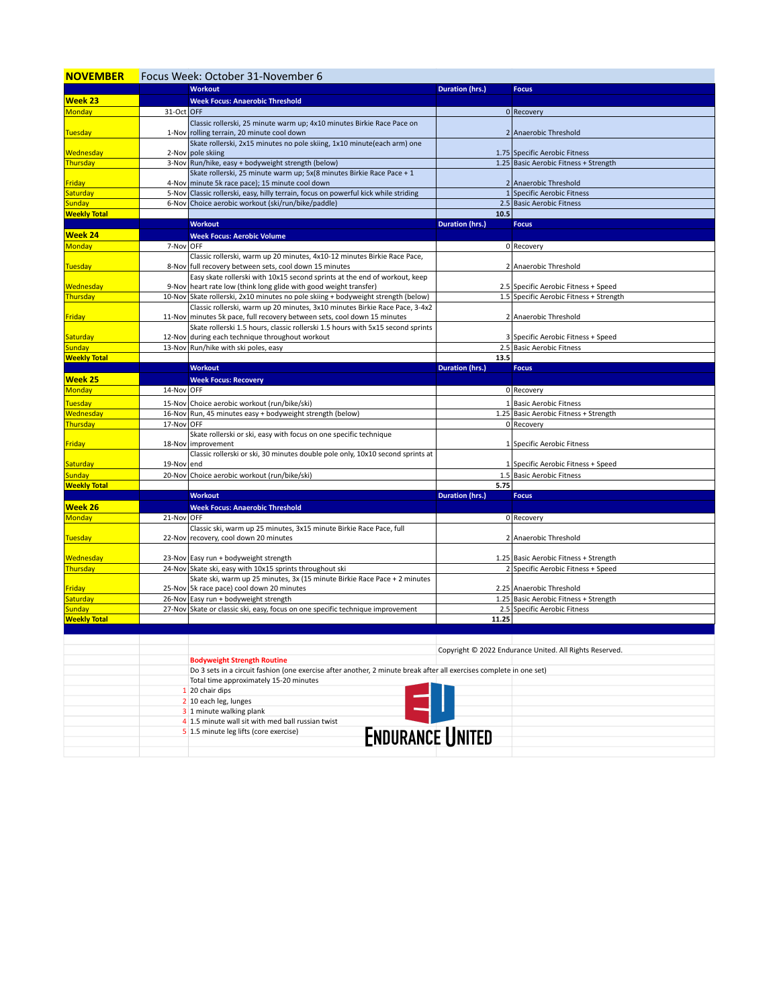| <b>NOVEMBER</b>     |            | Focus Week: October 31-November 6                                                                                   |                        |                                                         |  |  |
|---------------------|------------|---------------------------------------------------------------------------------------------------------------------|------------------------|---------------------------------------------------------|--|--|
|                     |            | <b>Workout</b>                                                                                                      | Duration (hrs.)        | <b>Focus</b>                                            |  |  |
| <b>Week 23</b>      |            | <b>Week Focus: Anaerobic Threshold</b>                                                                              |                        |                                                         |  |  |
| Monday              | 31-Oct OFF |                                                                                                                     |                        | 0 Recovery                                              |  |  |
|                     |            | Classic rollerski, 25 minute warm up; 4x10 minutes Birkie Race Pace on                                              |                        |                                                         |  |  |
| <b>Tuesday</b>      |            | 1-Nov rolling terrain, 20 minute cool down                                                                          |                        | 2 Anaerobic Threshold                                   |  |  |
|                     |            | Skate rollerski, 2x15 minutes no pole skiing, 1x10 minute(each arm) one                                             |                        |                                                         |  |  |
| Wednesday           |            | 2-Nov pole skiing                                                                                                   |                        | 1.75 Specific Aerobic Fitness                           |  |  |
| Thursday            |            | 3-Nov   Run/hike, easy + bodyweight strength (below)                                                                |                        | 1.25 Basic Aerobic Fitness + Strength                   |  |  |
|                     |            | Skate rollerski, 25 minute warm up; 5x(8 minutes Birkie Race Pace + 1                                               |                        |                                                         |  |  |
| <b>Friday</b>       |            | 4-Nov minute 5k race pace); 15 minute cool down                                                                     |                        | 2 Anaerobic Threshold                                   |  |  |
| Saturday            |            | 5-Nov Classic rollerski, easy, hilly terrain, focus on powerful kick while striding                                 |                        | 1 Specific Aerobic Fitness                              |  |  |
| <b>Sunday</b>       |            | 6-Nov Choice aerobic workout (ski/run/bike/paddle)                                                                  |                        | 2.5 Basic Aerobic Fitness                               |  |  |
| <b>Weekly Total</b> |            |                                                                                                                     | 10.5                   |                                                         |  |  |
|                     |            | <b>Workout</b>                                                                                                      | <b>Duration (hrs.)</b> | <b>Focus</b>                                            |  |  |
| <b>Week 24</b>      |            | <b>Week Focus: Aerobic Volume</b>                                                                                   |                        |                                                         |  |  |
| Monday              | 7-Nov OFF  |                                                                                                                     |                        | 0 Recovery                                              |  |  |
|                     |            | Classic rollerski, warm up 20 minutes, 4x10-12 minutes Birkie Race Pace,                                            |                        |                                                         |  |  |
| <b>Tuesday</b>      |            | 8-Nov full recovery between sets, cool down 15 minutes                                                              |                        | 2 Anaerobic Threshold                                   |  |  |
|                     |            | Easy skate rollerski with 10x15 second sprints at the end of workout, keep                                          |                        |                                                         |  |  |
| Wednesday           |            | 9-Nov   heart rate low (think long glide with good weight transfer)                                                 |                        | 2.5 Specific Aerobic Fitness + Speed                    |  |  |
| Thursday            |            | 10-Nov Skate rollerski, 2x10 minutes no pole skiing + bodyweight strength (below)                                   |                        | 1.5 Specific Aerobic Fitness + Strength                 |  |  |
|                     |            | Classic rollerski, warm up 20 minutes, 3x10 minutes Birkie Race Pace, 3-4x2                                         |                        |                                                         |  |  |
| <b>Friday</b>       |            | 11-Nov minutes 5k pace, full recovery between sets, cool down 15 minutes                                            |                        | 2 Anaerobic Threshold                                   |  |  |
|                     |            | Skate rollerski 1.5 hours, classic rollerski 1.5 hours with 5x15 second sprints                                     |                        |                                                         |  |  |
| Saturday            |            | 12-Nov during each technique throughout workout                                                                     |                        | 3 Specific Aerobic Fitness + Speed                      |  |  |
| <b>Sunday</b>       |            | 13-Nov Run/hike with ski poles, easy                                                                                |                        | 2.5 Basic Aerobic Fitness                               |  |  |
| <b>Weekly Total</b> |            |                                                                                                                     | 13.5                   |                                                         |  |  |
|                     |            | <b>Workout</b>                                                                                                      | Duration (hrs.)        | <b>Focus</b>                                            |  |  |
| <b>Week 25</b>      |            | <b>Week Focus: Recovery</b>                                                                                         |                        |                                                         |  |  |
| Monday              | 14-Nov OFF |                                                                                                                     |                        | 0 Recovery                                              |  |  |
| <b>Tuesday</b>      |            | 15-Nov Choice aerobic workout (run/bike/ski)                                                                        |                        | 1 Basic Aerobic Fitness                                 |  |  |
| Wednesday           |            | 16-Nov Run, 45 minutes easy + bodyweight strength (below)                                                           |                        | 1.25 Basic Aerobic Fitness + Strength                   |  |  |
| Thursday            | 17-Nov OFF |                                                                                                                     |                        | 0 Recovery                                              |  |  |
|                     |            | Skate rollerski or ski, easy with focus on one specific technique                                                   |                        |                                                         |  |  |
| <b>Friday</b>       |            | 18-Nov   improvement                                                                                                |                        | 1 Specific Aerobic Fitness                              |  |  |
|                     |            | Classic rollerski or ski, 30 minutes double pole only, 10x10 second sprints at                                      |                        |                                                         |  |  |
| Saturday            | 19-Nov end |                                                                                                                     |                        | 1 Specific Aerobic Fitness + Speed                      |  |  |
| <b>Sunday</b>       |            | 20-Nov Choice aerobic workout (run/bike/ski)                                                                        |                        | 1.5 Basic Aerobic Fitness                               |  |  |
| <b>Weekly Total</b> |            |                                                                                                                     | 5.75                   |                                                         |  |  |
|                     |            | <b>Workout</b>                                                                                                      | <b>Duration (hrs.)</b> | <b>Focus</b>                                            |  |  |
| <b>Week 26</b>      |            | <b>Week Focus: Anaerobic Threshold</b>                                                                              |                        |                                                         |  |  |
| Monday              | 21-Nov OFF |                                                                                                                     |                        | 0 Recovery                                              |  |  |
|                     |            | Classic ski, warm up 25 minutes, 3x15 minute Birkie Race Pace, full                                                 |                        |                                                         |  |  |
| Tuesday             |            | 22-Nov recovery, cool down 20 minutes                                                                               |                        | 2 Anaerobic Threshold                                   |  |  |
|                     |            |                                                                                                                     |                        |                                                         |  |  |
| Wednesday           |            | 23-Nov Easy run + bodyweight strength                                                                               |                        | 1.25 Basic Aerobic Fitness + Strength                   |  |  |
| Thursday            |            | 24-Nov Skate ski, easy with 10x15 sprints throughout ski                                                            |                        | 2 Specific Aerobic Fitness + Speed                      |  |  |
|                     |            | Skate ski, warm up 25 minutes, 3x (15 minute Birkie Race Pace + 2 minutes                                           |                        |                                                         |  |  |
| Friday              |            | 25-Nov 5k race pace) cool down 20 minutes                                                                           |                        | 2.25 Anaerobic Threshold                                |  |  |
| Saturday            |            | 26-Nov Easy run + bodyweight strength                                                                               |                        | 1.25 Basic Aerobic Fitness + Strength                   |  |  |
| <b>Sunday</b>       |            | 27-Nov Skate or classic ski, easy, focus on one specific technique improvement                                      |                        | 2.5 Specific Aerobic Fitness                            |  |  |
| <b>Weekly Total</b> |            |                                                                                                                     | 11.25                  |                                                         |  |  |
|                     |            |                                                                                                                     |                        |                                                         |  |  |
|                     |            |                                                                                                                     |                        |                                                         |  |  |
|                     |            |                                                                                                                     |                        | Copyright © 2022 Endurance United. All Rights Reserved. |  |  |
|                     |            | <b>Bodyweight Strength Routine</b>                                                                                  |                        |                                                         |  |  |
|                     |            | Do 3 sets in a circuit fashion (one exercise after another, 2 minute break after all exercises complete in one set) |                        |                                                         |  |  |
|                     |            | Total time approximately 15-20 minutes                                                                              |                        |                                                         |  |  |
|                     |            | 1 20 chair dips                                                                                                     |                        |                                                         |  |  |
|                     |            | 2 10 each leg, lunges                                                                                               |                        |                                                         |  |  |
|                     |            | 3 1 minute walking plank                                                                                            |                        |                                                         |  |  |
|                     |            | 4 1.5 minute wall sit with med ball russian twist                                                                   |                        |                                                         |  |  |
|                     |            | <b>ENDURANCE UNITED</b><br>5 1.5 minute leg lifts (core exercise)                                                   |                        |                                                         |  |  |
|                     |            |                                                                                                                     |                        |                                                         |  |  |
|                     |            |                                                                                                                     |                        |                                                         |  |  |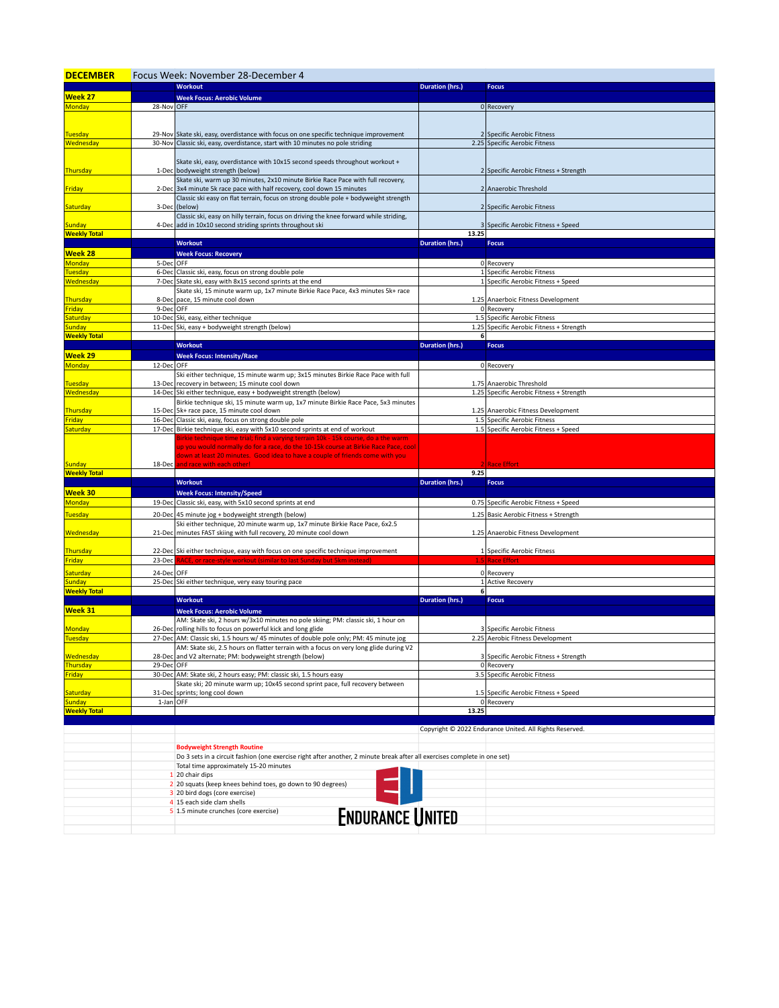| <b>DECEMBER</b>           | Focus Week: November 28-December 4 |                                                                                                                                                                            |                        |                                                         |  |  |
|---------------------------|------------------------------------|----------------------------------------------------------------------------------------------------------------------------------------------------------------------------|------------------------|---------------------------------------------------------|--|--|
|                           |                                    | <b>Workout</b>                                                                                                                                                             | <b>Duration (hrs.)</b> | <b>Focus</b>                                            |  |  |
| Week 27                   |                                    | <b>Week Focus: Aerobic Volume</b>                                                                                                                                          |                        |                                                         |  |  |
| Monday                    | 28-Nov OFF                         |                                                                                                                                                                            |                        | 0 Recovery                                              |  |  |
|                           |                                    |                                                                                                                                                                            |                        |                                                         |  |  |
|                           |                                    |                                                                                                                                                                            |                        |                                                         |  |  |
| <b>Tuesday</b>            |                                    | 29-Nov Skate ski, easy, overdistance with focus on one specific technique improvement                                                                                      |                        | 2 Specific Aerobic Fitness                              |  |  |
| Wednesday                 |                                    | 30-Nov Classic ski, easy, overdistance, start with 10 minutes no pole striding                                                                                             |                        | 2.25 Specific Aerobic Fitness                           |  |  |
|                           |                                    | Skate ski, easy, overdistance with 10x15 second speeds throughout workout +                                                                                                |                        |                                                         |  |  |
| Thursday                  |                                    | 1-Dec bodyweight strength (below)                                                                                                                                          |                        | 2 Specific Aerobic Fitness + Strength                   |  |  |
|                           |                                    | Skate ski, warm up 30 minutes, 2x10 minute Birkie Race Pace with full recovery,                                                                                            |                        |                                                         |  |  |
| Friday                    |                                    | 2-Dec 3x4 minute 5k race pace with half recovery, cool down 15 minutes                                                                                                     |                        | 2 Anaerobic Threshold                                   |  |  |
|                           |                                    | Classic ski easy on flat terrain, focus on strong double pole + bodyweight strength                                                                                        |                        |                                                         |  |  |
| Saturday                  | 3-Dec                              | (below)                                                                                                                                                                    |                        | 2 Specific Aerobic Fitness                              |  |  |
|                           |                                    | Classic ski, easy on hilly terrain, focus on driving the knee forward while striding,                                                                                      |                        |                                                         |  |  |
| <b>Sunday</b>             |                                    | 4-Dec add in 10x10 second striding sprints throughout ski                                                                                                                  |                        | 3 Specific Aerobic Fitness + Speed                      |  |  |
| <b>Weekly Total</b>       |                                    |                                                                                                                                                                            | 13.25                  |                                                         |  |  |
|                           |                                    | <b>Workout</b>                                                                                                                                                             | <b>Duration (hrs.)</b> | <b>Focus</b>                                            |  |  |
| <b>Week 28</b>            |                                    | <b>Week Focus: Recovery</b>                                                                                                                                                |                        |                                                         |  |  |
| <b>Monday</b>             | 5-Dec OFF                          |                                                                                                                                                                            |                        | 0 Recovery                                              |  |  |
| <b>Tuesday</b>            |                                    | 6-Dec Classic ski, easy, focus on strong double pole                                                                                                                       |                        | 1 Specific Aerobic Fitness                              |  |  |
| <b>Wednesday</b>          |                                    | 7-Dec Skate ski, easy with 8x15 second sprints at the end                                                                                                                  |                        | 1 Specific Aerobic Fitness + Speed                      |  |  |
|                           |                                    | Skate ski, 15 minute warm up, 1x7 minute Birkie Race Pace, 4x3 minutes 5k+ race                                                                                            |                        |                                                         |  |  |
| Thursday<br><b>Friday</b> | 9-Dec OFF                          | 8-Dec pace, 15 minute cool down                                                                                                                                            |                        | 1.25 Anaerboic Fitness Development<br>0 Recovery        |  |  |
| <mark>saturday</mark>     |                                    | 10-Dec Ski, easy, either technique                                                                                                                                         |                        | 1.5 Specific Aerobic Fitness                            |  |  |
| <b>Sunday</b>             |                                    | 11-Dec Ski, easy + bodyweight strength (below)                                                                                                                             |                        | 1.25 Specific Aerobic Fitness + Strength                |  |  |
| <b>Weekly Total</b>       |                                    |                                                                                                                                                                            | 6                      |                                                         |  |  |
|                           |                                    | <b>Workout</b>                                                                                                                                                             | <b>Duration (hrs.)</b> | <b>Focus</b>                                            |  |  |
| Week 29                   |                                    | <b>Week Focus: Intensity/Race</b>                                                                                                                                          |                        |                                                         |  |  |
| <b>Monday</b>             | 12-Dec OFF                         |                                                                                                                                                                            |                        | 0 Recovery                                              |  |  |
|                           |                                    | Ski either technique, 15 minute warm up; 3x15 minutes Birkie Race Pace with full                                                                                           |                        |                                                         |  |  |
| Tuesday                   |                                    | 13-Dec recovery in between; 15 minute cool down                                                                                                                            |                        | 1.75 Anaerobic Threshold                                |  |  |
| Wednesday                 |                                    | 14-Dec Ski either technique, easy + bodyweight strength (below)                                                                                                            |                        | 1.25 Specific Aerobic Fitness + Strength                |  |  |
|                           |                                    | Birkie technique ski, 15 minute warm up, 1x7 minute Birkie Race Pace, 5x3 minutes                                                                                          |                        |                                                         |  |  |
| Thursday                  |                                    | 15-Dec 5k+ race pace, 15 minute cool down                                                                                                                                  |                        | 1.25 Anaerobic Fitness Development                      |  |  |
| <b>Friday</b>             |                                    | 16-Dec Classic ski, easy, focus on strong double pole                                                                                                                      |                        | 1.5 Specific Aerobic Fitness                            |  |  |
| <mark>Saturday</mark>     |                                    | 17-Dec Birkie technique ski, easy with 5x10 second sprints at end of workout                                                                                               |                        | 1.5 Specific Aerobic Fitness + Speed                    |  |  |
|                           |                                    | Birkie technique time trial; find a varying terrain 10k - 15k course, do a the warm<br>up you would normally do for a race, do the 10-15k course at Birkie Race Pace, cool |                        |                                                         |  |  |
|                           |                                    | down at least 20 minutes. Good idea to have a couple of friends come with you                                                                                              |                        |                                                         |  |  |
| <b>Sunday</b>             | 18-Dec                             | and race with each other!                                                                                                                                                  |                        | 2 Race Effort                                           |  |  |
| <b>Weekly Total</b>       |                                    |                                                                                                                                                                            | 9.25                   |                                                         |  |  |
|                           |                                    | <b>Workout</b>                                                                                                                                                             | <b>Duration (hrs.)</b> | <b>Focus</b>                                            |  |  |
| Week 30                   |                                    | <b>Week Focus: Intensity/Speed</b>                                                                                                                                         |                        |                                                         |  |  |
| <b>Monday</b>             |                                    | 19-Dec Classic ski, easy, with 5x10 second sprints at end                                                                                                                  |                        | 0.75 Specific Aerobic Fitness + Speed                   |  |  |
| <b>Tuesday</b>            |                                    | 20-Dec 45 minute jog + bodyweight strength (below)                                                                                                                         |                        | 1.25 Basic Aerobic Fitness + Strength                   |  |  |
|                           |                                    | Ski either technique, 20 minute warm up, 1x7 minute Birkie Race Pace, 6x2.5                                                                                                |                        |                                                         |  |  |
| Wednesday                 |                                    | 21-Dec minutes FAST skiing with full recovery, 20 minute cool down                                                                                                         |                        | 1.25 Anaerobic Fitness Development                      |  |  |
|                           |                                    |                                                                                                                                                                            |                        |                                                         |  |  |
| Thursday                  |                                    | 22-Dec Ski either technique, easy with focus on one specific technique improvement                                                                                         |                        | 1 Specific Aerobic Fitness                              |  |  |
| Friday                    |                                    | 23-Dec RACE, or race-style workout (similar to last Sunday but 5km instea                                                                                                  |                        | <b>Race Effort</b>                                      |  |  |
| Saturday                  | 24-Dec OFF                         |                                                                                                                                                                            |                        | 0 Recovery                                              |  |  |
| <b>Sunday</b>             |                                    | 25-Dec Ski either technique, very easy touring pace                                                                                                                        |                        | 1 Active Recovery                                       |  |  |
| <b>Weekly Total</b>       |                                    |                                                                                                                                                                            | 6                      |                                                         |  |  |
|                           |                                    | <b>Workout</b>                                                                                                                                                             | <b>Duration (hrs.)</b> | <b>Focus</b>                                            |  |  |
| Week 31                   |                                    | <b>Week Focus: Aerobic Volume</b>                                                                                                                                          |                        |                                                         |  |  |
|                           |                                    | AM: Skate ski, 2 hours w/3x10 minutes no pole skiing; PM: classic ski, 1 hour on                                                                                           |                        |                                                         |  |  |
| <b>Monday</b>             |                                    | 26-Dec rolling hills to focus on powerful kick and long glide                                                                                                              |                        | 3 Specific Aerobic Fitness                              |  |  |
| Tuesday                   |                                    | 27-Dec AM: Classic ski, 1.5 hours w/ 45 minutes of double pole only; PM: 45 minute jog                                                                                     |                        | 2.25 Aerobic Fitness Development                        |  |  |
|                           |                                    | AM: Skate ski, 2.5 hours on flatter terrain with a focus on very long glide during V2                                                                                      |                        |                                                         |  |  |
| Wednesday                 |                                    | 28-Dec and V2 alternate; PM: bodyweight strength (below)                                                                                                                   |                        | 3 Specific Aerobic Fitness + Strength                   |  |  |
| Thursday                  | 29-Dec OFF                         |                                                                                                                                                                            |                        | 0 Recovery                                              |  |  |
| Friday                    |                                    | 30-Dec AM: Skate ski, 2 hours easy; PM: classic ski, 1.5 hours easy                                                                                                        |                        | 3.5 Specific Aerobic Fitness                            |  |  |
| iaturday                  |                                    | Skate ski; 20 minute warm up; 10x45 second sprint pace, full recovery between<br>31-Dec sprints; long cool down                                                            |                        | 1.5 Specific Aerobic Fitness + Speed                    |  |  |
| <b>Sunday</b>             | $1$ -Jan OFF                       |                                                                                                                                                                            |                        | 0 Recovery                                              |  |  |
| <b>Weekly Total</b>       |                                    |                                                                                                                                                                            | 13.25                  |                                                         |  |  |
|                           |                                    |                                                                                                                                                                            |                        |                                                         |  |  |
|                           |                                    |                                                                                                                                                                            |                        | Copyright © 2022 Endurance United. All Rights Reserved. |  |  |
|                           |                                    |                                                                                                                                                                            |                        |                                                         |  |  |
|                           |                                    | <b>Bodyweight Strength Routine</b>                                                                                                                                         |                        |                                                         |  |  |
|                           |                                    | Do 3 sets in a circuit fashion (one exercise right after another, 2 minute break after all exercises complete in one set)                                                  |                        |                                                         |  |  |
|                           |                                    | Total time approximately 15-20 minutes                                                                                                                                     |                        |                                                         |  |  |
|                           |                                    | 1 20 chair dips                                                                                                                                                            |                        |                                                         |  |  |
|                           |                                    | 2 20 squats (keep knees behind toes, go down to 90 degrees)                                                                                                                |                        |                                                         |  |  |
|                           |                                    | 3 20 bird dogs (core exercise)                                                                                                                                             |                        |                                                         |  |  |
|                           |                                    | 4 15 each side clam shells                                                                                                                                                 |                        |                                                         |  |  |
|                           |                                    | <b>FNDHRANCE HNITED</b><br>5 1.5 minute crunches (core exercise)                                                                                                           |                        |                                                         |  |  |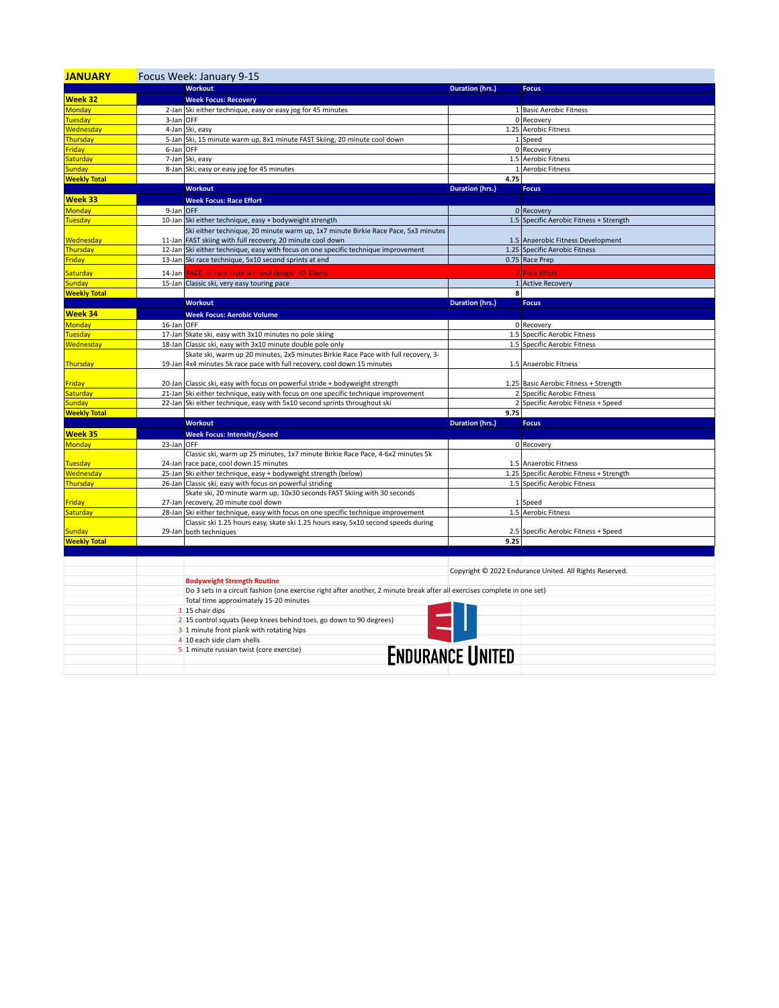| <b>JANUARY</b>      | Focus Week: January 9-15 |                                                                                                                           |                         |                                                         |
|---------------------|--------------------------|---------------------------------------------------------------------------------------------------------------------------|-------------------------|---------------------------------------------------------|
|                     |                          | <b>Workout</b>                                                                                                            | <b>Duration (hrs.)</b>  | <b>Focus</b>                                            |
| Week 32             |                          | <b>Week Focus: Recovery</b>                                                                                               |                         |                                                         |
| <b>Monday</b>       |                          | 2-Jan Ski either technique, easy or easy jog for 45 minutes                                                               |                         | 1 Basic Aerobic Fitness                                 |
| Tuesday             | 3-Jan OFF                |                                                                                                                           |                         | 0 Recovery                                              |
| Wednesday           |                          | 4-Jan Ski, easy                                                                                                           |                         | 1.25 Aerobic Fitness                                    |
| Thursday            |                          | 5-Jan Ski, 15 minute warm up, 8x1 minute FAST Skiing, 20 minute cool down                                                 | $1\vert$                | Speed                                                   |
| Friday              | 6-Jan OFF                |                                                                                                                           |                         | 0 Recovery                                              |
| Saturday            |                          | 7-Jan Ski, easy                                                                                                           |                         | 1.5 Aerobic Fitness                                     |
| Sunday              |                          | 8-Jan Ski, easy or easy jog for 45 minutes                                                                                | $1\vert$                | <b>Aerobic Fitness</b>                                  |
| <b>Weekly Total</b> |                          |                                                                                                                           | 4.75                    |                                                         |
|                     |                          | <b>Workout</b>                                                                                                            | <b>Duration (hrs.)</b>  | <b>Focus</b>                                            |
| Week 33             |                          | <b>Week Focus: Race Effort</b>                                                                                            |                         |                                                         |
| Monday              | 9-Jan OFF                |                                                                                                                           |                         | 0 Recovery                                              |
| <b>Tuesday</b>      |                          | 10-Jan Ski either technique, easy + bodyweight strength                                                                   |                         | 1.5 Specific Aerobic Fitness + Strength                 |
|                     |                          | Ski either technique, 20 minute warm up, 1x7 minute Birkie Race Pace, 5x3 minutes                                         |                         |                                                         |
| Wednesday           |                          | 11-Jan FAST skiing with full recovery, 20 minute cool down                                                                |                         | 1.5 Anaerobic Fitness Development                       |
| Thursday            |                          | 12-Jan Ski either technique, easy with focus on one specific technique improvement                                        |                         | 1.25 Specific Aerobic Fitness                           |
| Friday              |                          | 13-Jan Ski race technique, 5x10 second sprints at end                                                                     |                         | 0.75 Race Prep                                          |
| Saturday            | 14-Jan                   | RACE, or race-style workout (longer 30-35km)                                                                              |                         | <b>Race Effort</b>                                      |
| <b>Sunday</b>       |                          | 15-Jan Classic ski, very easy touring pace                                                                                |                         | 1 Active Recovery                                       |
| <b>Weekly Total</b> |                          |                                                                                                                           | 8                       |                                                         |
|                     |                          | <b>Workout</b>                                                                                                            | <b>Duration (hrs.)</b>  | <b>Focus</b>                                            |
| Week 34             |                          | <b>Week Focus: Aerobic Volume</b>                                                                                         |                         |                                                         |
| Monday              | 16-Jan OFF               |                                                                                                                           |                         | 0 Recovery                                              |
| Tuesday             |                          | 17-Jan Skate ski, easy with 3x10 minutes no pole skiing                                                                   |                         | 1.5 Specific Aerobic Fitness                            |
| Wednesday           |                          | 18-Jan Classic ski, easy with 3x10 minute double pole only                                                                |                         | 1.5 Specific Aerobic Fitness                            |
|                     |                          | Skate ski, warm up 20 minutes, 2x5 minutes Birkie Race Pace with full recovery, 3-                                        |                         |                                                         |
| Thursday            |                          | 19-Jan 4x4 minutes 5k race pace with full recovery, cool down 15 minutes                                                  |                         | 1.5 Anaerobic Fitness                                   |
|                     |                          |                                                                                                                           |                         |                                                         |
| Friday              |                          | 20-Jan Classic ski, easy with focus on powerful stride + bodyweight strength                                              |                         | 1.25 Basic Aerobic Fitness + Strength                   |
| Saturday            |                          | 21-Jan Ski either technique, easy with focus on one specific technique improvement                                        |                         | 2 Specific Aerobic Fitness                              |
| <b>Sunday</b>       |                          | 22-Jan Ski either technique, easy with 5x10 second sprints throughout ski                                                 |                         | 2 Specific Aerobic Fitness + Speed                      |
| <b>Weekly Total</b> |                          |                                                                                                                           | 9.75                    |                                                         |
|                     |                          | <b>Workout</b>                                                                                                            | <b>Duration (hrs.)</b>  | <b>Focus</b>                                            |
| Week 35             |                          | <b>Week Focus: Intensity/Speed</b>                                                                                        |                         |                                                         |
| <b>Monday</b>       | 23-Jan OFF               |                                                                                                                           |                         | 0 Recovery                                              |
|                     |                          | Classic ski, warm up 25 minutes, 1x7 minute Birkie Race Pace, 4-6x2 minutes 5k                                            |                         |                                                         |
| Tuesday             |                          | 24-Jan race pace, cool down 15 minutes                                                                                    |                         | 1.5 Anaerobic Fitness                                   |
| Wednesday           |                          | 25-Jan Ski either technique, easy + bodyweight strength (below)                                                           |                         | 1.25 Specific Aerobic Fitness + Strength                |
| Thursday            |                          | 26-Jan Classic ski, easy with focus on powerful striding                                                                  |                         | 1.5 Specific Aerobic Fitness                            |
|                     |                          | Skate ski, 20 minute warm up, 10x30 seconds FAST Skiing with 30 seconds                                                   |                         |                                                         |
| Friday              |                          | 27-Jan recovery, 20 minute cool down                                                                                      |                         | 1 Speed                                                 |
| Saturday            |                          | 28-Jan Ski either technique, easy with focus on one specific technique improvement                                        |                         | 1.5 Aerobic Fitness                                     |
|                     |                          | Classic ski 1.25 hours easy, skate ski 1.25 hours easy, 5x10 second speeds during                                         |                         |                                                         |
| <b>Sunday</b>       |                          | 29-Jan both techniques                                                                                                    |                         | 2.5 Specific Aerobic Fitness + Speed                    |
| <b>Weekly Total</b> |                          |                                                                                                                           | 9.25                    |                                                         |
|                     |                          |                                                                                                                           |                         |                                                         |
|                     |                          |                                                                                                                           |                         |                                                         |
|                     |                          |                                                                                                                           |                         | Copyright © 2022 Endurance United. All Rights Reserved. |
|                     |                          | <b>Bodyweight Strength Routine</b>                                                                                        |                         |                                                         |
|                     |                          | Do 3 sets in a circuit fashion (one exercise right after another, 2 minute break after all exercises complete in one set) |                         |                                                         |
|                     |                          | Total time approximately 15-20 minutes                                                                                    |                         |                                                         |
|                     |                          | 1 15 chair dips                                                                                                           |                         |                                                         |
|                     |                          | 2 15 control squats (keep knees behind toes, go down to 90 degrees)                                                       |                         |                                                         |
|                     |                          | 3 1 minute front plank with rotating hips                                                                                 |                         |                                                         |
|                     |                          | 4 10 each side clam shells                                                                                                |                         |                                                         |
|                     |                          | 5 1 minute russian twist (core exercise)                                                                                  | <b>ENDURANCE UNITED</b> |                                                         |
|                     |                          |                                                                                                                           |                         |                                                         |